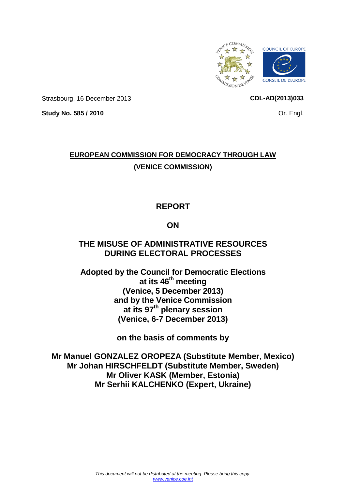

Strasbourg, 16 December 2013

**CDL-AD(2013)033**

**Study No. 585 / 2010**

## Or. Engl.

# **EUROPEAN COMMISSION FOR DEMOCRACY THROUGH LAW (VENICE COMMISSION)**

# **REPORT**

## **ON**

## **THE MISUSE OF ADMINISTRATIVE RESOURCES DURING ELECTORAL PROCESSES**

**Adopted by the Council for Democratic Elections at its 46th meeting (Venice, 5 December 2013) and by the Venice Commission at its 97th plenary session (Venice, 6-7 December 2013)**

**on the basis of comments by**

**Mr Manuel GONZALEZ OROPEZA (Substitute Member, Mexico) Mr Johan HIRSCHFELDT (Substitute Member, Sweden) Mr Oliver KASK (Member, Estonia) Mr Serhii KALCHENKO (Expert, Ukraine)**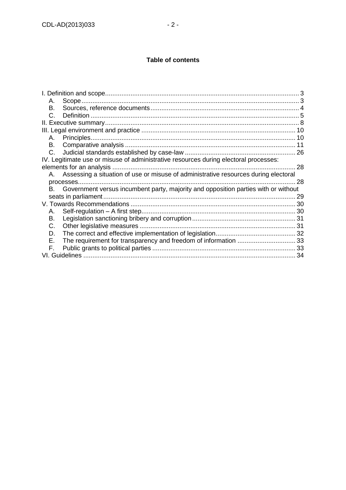### **Table of contents**

| 28 |
|----|
|    |
| 28 |
|    |
|    |
|    |
|    |
|    |
|    |
|    |
|    |
|    |
|    |
|    |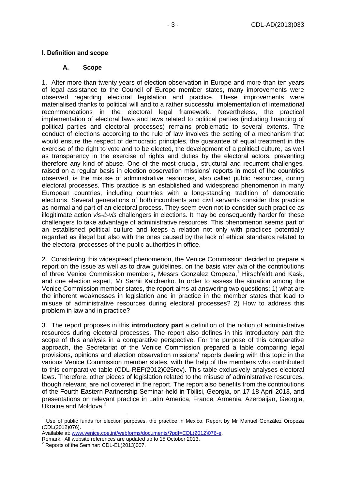### <span id="page-2-0"></span>**A. Scope**

<span id="page-2-1"></span>1. After more than twenty years of election observation in Europe and more than ten years of legal assistance to the Council of Europe member states, many improvements were observed regarding electoral legislation and practice. These improvements were materialised thanks to political will and to a rather successful implementation of international recommendations in the electoral legal framework. Nevertheless, the practical implementation of electoral laws and laws related to political parties (including financing of political parties and electoral processes) remains problematic to several extents. The conduct of elections according to the rule of law involves the setting of a mechanism that would ensure the respect of democratic principles, the guarantee of equal treatment in the exercise of the right to vote and to be elected, the development of a political culture, as well as transparency in the exercise of rights and duties by the electoral actors, preventing therefore any kind of abuse. One of the most crucial, structural and recurrent challenges, raised on a regular basis in election observation missions' reports in most of the countries observed, is the misuse of administrative resources, also called public resources, during electoral processes. This practice is an established and widespread phenomenon in many European countries, including countries with a long-standing tradition of democratic elections. Several generations of both incumbents and civil servants consider this practice as normal and part of an electoral process. They seem even not to consider such practice as illegitimate action *vis-à-vis* challengers in elections. It may be consequently harder for these challengers to take advantage of administrative resources. This phenomenon seems part of an established political culture and keeps a relation not only with practices potentially regarded as illegal but also with the ones caused by the lack of ethical standards related to the electoral processes of the public authorities in office.

2. Considering this widespread phenomenon, the Venice Commission decided to prepare a report on the issue as well as to draw guidelines, on the basis *inter alia* of the contributions of three Venice Commission members, Messrs Gonzalez Oropeza, <sup>1</sup> Hirschfeldt and Kask, and one election expert, Mr Serhii Kalchenko. In order to assess the situation among the Venice Commission member states, the report aims at answering two questions: 1) what are the inherent weaknesses in legislation and in practice in the member states that lead to misuse of administrative resources during electoral processes? 2) How to address this problem in law and in practice?

3. The report proposes in this **introductory part** a definition of the notion of administrative resources during electoral processes. The report also defines in this introductory part the scope of this analysis in a comparative perspective. For the purpose of this comparative approach, the Secretariat of the Venice Commission prepared a table comparing legal provisions, opinions and election observation missions' reports dealing with this topic in the various Venice Commission member states, with the help of the members who contributed to this comparative table (CDL-REF(2012)025rev). This table exclusively analyses electoral laws. Therefore, other pieces of legislation related to the misuse of administrative resources, though relevant, are not covered in the report. The report also benefits from the contributions of the Fourth Eastern Partnership Seminar held in Tbilisi, Georgia, on 17-18 April 2013, and presentations on relevant practice in Latin America, France, Armenia, Azerbaijan, Georgia, Ukraine and Moldova.<sup>2</sup>

 $\overline{1}$ 

 $1$  Use of public funds for election purposes, the practice in Mexico, Report by Mr Manuel González Oropeza (CDL(2012)076).

Available at[: www.venice.coe.int/webforms/documents/?pdf=CDL\(2012\)076-e.](http://www.venice.coe.int/webforms/documents/?pdf=CDL(2012)076-e)

Remark: All website references are updated up to 15 October 2013.

<sup>2</sup> Reports of the Seminar: CDL-EL(2013)007.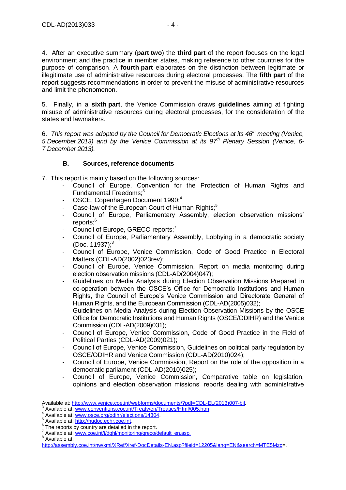4. After an executive summary (**part two**) the **third part** of the report focuses on the legal environment and the practice in member states, making reference to other countries for the purpose of comparison. A **fourth part** elaborates on the distinction between legitimate or illegitimate use of administrative resources during electoral processes. The **fifth part** of the report suggests recommendations in order to prevent the misuse of administrative resources and limit the phenomenon.

5. Finally, in a **sixth part**, the Venice Commission draws **guidelines** aiming at fighting misuse of administrative resources during electoral processes, for the consideration of the states and lawmakers.

6. *This report was adopted by the Council for Democratic Elections at its 46th meeting (Venice, 5 December 2013) and by the Venice Commission at its 97th Plenary Session (Venice, 6- 7 December 2013).*

## **B. Sources, reference documents**

<span id="page-3-0"></span>7. This report is mainly based on the following sources:

- Council of Europe, Convention for the Protection of Human Rights and Fundamental Freedoms;<sup>3</sup>
- OSCE, Copenhagen Document 1990;<sup>4</sup>
- Case-law of the European Court of Human Rights;<sup>5</sup>
- Council of Europe, Parliamentary Assembly, election observation missions' reports;<sup>6</sup>
- Council of Europe, GRECO reports;<sup>7</sup>
- Council of Europe, Parliamentary Assembly, Lobbying in a democratic society  $(Doc. 11937)$ ;<sup>8</sup>
- Council of Europe, Venice Commission, Code of Good Practice in Electoral Matters (CDL-AD(2002)023rev);
- Council of Europe, Venice Commission, Report on media monitoring during election observation missions (CDL-AD(2004)047);
- Guidelines on Media Analysis during Election Observation Missions Prepared in co-operation between the OSCE's Office for Democratic Institutions and Human Rights, the Council of Europe's Venice Commission and Directorate General of Human Rights, and the European Commission (CDL-AD(2005)032);
- Guidelines on Media Analysis during Election Observation Missions by the OSCE Office for Democratic Institutions and Human Rights (OSCE/ODIHR) and the Venice Commission (CDL-AD(2009)031);
- Council of Europe, Venice Commission, Code of Good Practice in the Field of Political Parties (CDL-AD(2009)021);
- Council of Europe, Venice Commission, Guidelines on political party regulation by OSCE/ODIHR and Venice Commission (CDL-AD(2010)024);
- Council of Europe, Venice Commission, Report on the role of the opposition in a democratic parliament (CDL-AD(2010)025);
- Council of Europe, Venice Commission, Comparative table on legislation, opinions and election observation missions' reports dealing with administrative

<sup>8</sup> Available at:

-

Available at[: http://www.venice.coe.int/webforms/documents/?pdf=CDL-EL\(2013\)007-bil.](http://www.venice.coe.int/webforms/documents/?pdf=CDL-EL(2013)007-bil)<br>3 Available at: www.copyontions.cog.int/Tracty/on/Traction/Html/005.htm

Available at: [www.conventions.coe.int/Treaty/en/Treaties/Html/005.htm.](http://www.conventions.coe.int/Treaty/en/Treaties/Html/005.htm)

<sup>4</sup> Available at: [www.osce.org/odihr/elections/14304.](http://www.osce.org/odihr/elections/14304)

<sup>5</sup> Available at: [http://hudoc.echr.coe.int.](http://hudoc.echr.coe.int/)

 $^6$  The reports by country are detailed in the report.

Available at: [www.coe.int/t/dghl/monitoring/greco/default\\_en.asp](http://www.coe.int/t/dghl/monitoring/greco/default_en.asp.)*.*

[http://assembly.coe.int/nw/xml/XRef/Xref-DocDetails-EN.asp?fileid=12205&lang=EN&search=MTE5Mzc=](http://assembly.coe.int/nw/xml/XRef/Xref-DocDetails-EN.asp?fileid=12205&lang=EN&search=MTE5Mzc).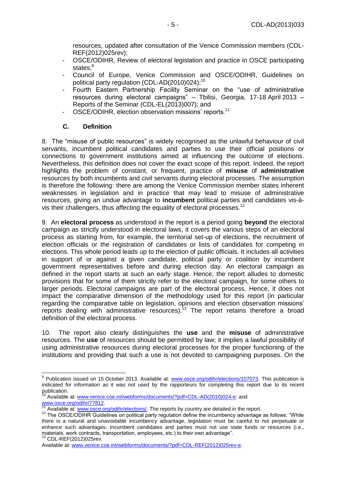resources, updated after consultation of the Venice Commission members (CDL-REF(2012)025rev);

- OSCE/ODIHR, Review of electoral legislation and practice in OSCE participating states:<sup>9</sup>
- Council of Europe, Venice Commission and OSCE/ODIHR, Guidelines on political party regulation (CDL-AD(2010)024);<sup>10</sup>
- Fourth Eastern Partnership Facility Seminar on the "use of administrative resources during electoral campaigns" – Tbilisi, Georgia, 17-18 April 2013 – Reports of the Seminar (CDL-EL(2013)007); and
- OSCE/ODIHR, election observation missions' reports.<sup>11</sup>

## **C. Definition**

<span id="page-4-0"></span>8. The "misuse of public resources" is widely recognised as the unlawful behaviour of civil servants, incumbent political candidates and parties to use their official positions or connections to government institutions aimed at influencing the outcome of elections. Nevertheless, this definition does not cover the exact scope of this report. Indeed, the report highlights the problem of constant, or frequent, practice of **misuse** of **administrative** resources by both incumbents and civil servants during electoral processes. The assumption is therefore the following: there are among the Venice Commission member states inherent weaknesses in legislation and in practice that may lead to misuse of administrative resources, giving an undue advantage to **incumbent** political parties and candidates vis-àvis their challengers, thus affecting the equality of electoral processes.<sup>12</sup>

9. An **electoral process** as understood in the report is a period going **beyond** the electoral campaign as strictly understood in electoral laws, it covers the various steps of an electoral process as starting from, for example, the territorial set-up of elections, the recruitment of election officials or the registration of candidates or lists of candidates for competing in elections. This whole period leads up to the election of public officials. It includes all activities in support of or against a given candidate, political party or coalition by incumbent government representatives before and during election day. An electoral campaign as defined in the report starts at such an early stage. Hence, the report alludes to domestic provisions that for some of them strictly refer to the electoral campaign, for some others to larger periods. Electoral campaigns are part of the electoral process. Hence, it does not impact the comparative dimension of the methodology used for this report (in particular regarding the comparative table on legislation, opinions and election observation missions' reports dealing with administrative resources).<sup>13</sup> The report retains therefore a broad definition of the electoral process.

10. The report also clearly distinguishes the **use** and the **misuse** of administrative resources. The **use** of resources should be permitted by law; it implies a lawful possibility of using administrative resources during electoral processes for the proper functioning of the institutions and providing that such a use is not devoted to campaigning purposes. On the

 9 Publication issued on 15 October 2013. Available at: [www.osce.org/odihr/elections/107073.](http://www.osce.org/odihr/elections/107073) This publication is indicated for information as it was not used by the rapporteurs for completing this report due to its recent publication.

<sup>&</sup>lt;sup>10</sup> Available at[: www.venice.coe.int/webforms/documents/?pdf=CDL-AD\(2010\)024-e;](http://www.venice.coe.int/webforms/documents/?pdf=CDL-AD(2010)024-e) and [www.osce.org/odihr/77812.](http://www.osce.org/odihr/77812)

Available at[: www.osce.org/odihr/elections/.](file:///C:/Users/RALL/AppData/Local/Microsoft/Windows/Temporary%20Internet%20Files/Content.Outlook/MOIDB7Y5/RES.%20ADM/AppData/Local/Microsoft/Windows/Temporary%20Internet%20Files/Content.IE5/BACWLN2H/www.osce.org/odihr/elections/) The reports by country are detailed in the report.

<sup>&</sup>lt;sup>12</sup> The OSCE/ODIHR Guidelines on political party regulation define the incumbency advantage as follows: "While there is a natural and unavoidable incumbency advantage, legislation must be careful to not perpetuate or enhance such advantages. Incumbent candidates and parties must not use state funds or resources (i.e., materials, work contracts, transportation, employees, etc.) to their own advantage". <sup>13</sup> CDL-REF(2012)025rev.

Available at[: www.venice.coe.int/webforms/documents/?pdf=CDL-REF\(2012\)025rev-e.](http://www.venice.coe.int/webforms/documents/?pdf=CDL-REF(2012)025rev-e)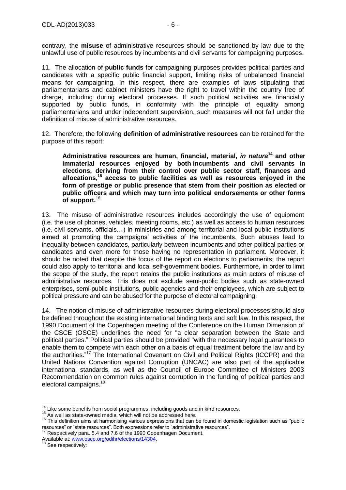contrary, the **misuse** of administrative resources should be sanctioned by law due to the unlawful use of public resources by incumbents and civil servants for campaigning purposes.

11. The allocation of **public funds** for campaigning purposes provides political parties and candidates with a specific public financial support, limiting risks of unbalanced financial means for campaigning. In this respect, there are examples of laws stipulating that parliamentarians and cabinet ministers have the right to travel within the country free of charge, including during electoral processes. If such political activities are financially supported by public funds, in conformity with the principle of equality among parliamentarians and under independent supervision, such measures will not fall under the definition of misuse of administrative resources.

12. Therefore, the following **definition of administrative resources** can be retained for the purpose of this report:

**Administrative resources are human, financial, material,** *in natura***<sup>14</sup> and other immaterial resources enjoyed by both incumbents and civil servants in elections, deriving from their control over public sector staff, finances and allocations, <sup>15</sup> access to public facilities as well as resources enjoyed in the form of prestige or public presence that stem from their position as elected or public officers and which may turn into political endorsements or other forms of support.** 16

13. The misuse of administrative resources includes accordingly the use of equipment (i.e. the use of phones, vehicles, meeting rooms, etc.) as well as access to human resources (i.e. civil servants, officials…) in ministries and among territorial and local public institutions aimed at promoting the campaigns' activities of the incumbents. Such abuses lead to inequality between candidates, particularly between incumbents and other political parties or candidates and even more for those having no representation in parliament. Moreover, it should be noted that despite the focus of the report on elections to parliaments, the report could also apply to territorial and local self-government bodies. Furthermore, in order to limit the scope of the study, the report retains the public institutions as main actors of misuse of administrative resources. This does not exclude semi-public bodies such as state-owned enterprises, semi-public institutions, public agencies and their employees, which are subject to political pressure and can be abused for the purpose of electoral campaigning.

14. The notion of misuse of administrative resources during electoral processes should also be defined throughout the existing international binding texts and soft law. In this respect, the 1990 Document of the Copenhagen meeting of the Conference on the Human Dimension of the CSCE (OSCE) underlines the need for "a clear separation between the State and political parties." Political parties should be provided "with the necessary legal guarantees to enable them to compete with each other on a basis of equal treatment before the law and by the authorities."<sup>17</sup> The International Covenant on Civil and Political Rights (ICCPR) and the United Nations Convention against Corruption (UNCAC) are also part of the applicable international standards, as well as the Council of Europe Committee of Ministers 2003 Recommendation on common rules against corruption in the funding of political parties and electoral campaigns.<sup>18</sup>

 $\overline{1}$ 

 $14$  Like some benefits from social programmes, including goods and in kind resources.

<sup>&</sup>lt;sup>15</sup> As well as state-owned media, which will not be addressed here.

<sup>&</sup>lt;sup>16</sup> This definition aims at harmonising various expressions that can be found in domestic legislation such as "public resources" or "state resources". Both expressions refer to "administrative resources".

 $17$  Respectively para. 5.4 and 7.6 of the 1990 Copenhagen Document.

Available at[: www.osce.org/odihr/elections/14304.](http://www.osce.org/odihr/elections/14304)

See respectively: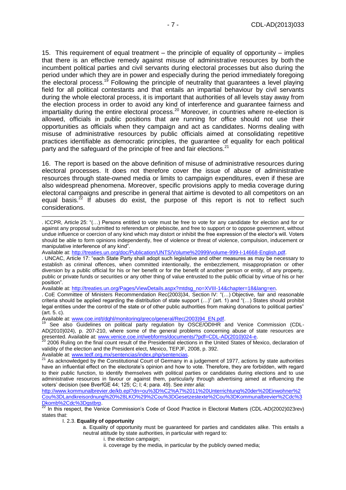15. This requirement of equal treatment – the principle of equality of opportunity – implies that there is an effective remedy against misuse of administrative resources by both the incumbent political parties and civil servants during electoral processes but also during the period under which they are in power and especially during the period immediately foregoing the electoral process.<sup>19</sup> Following the principle of neutrality that guarantees a level playing field for all political contestants and that entails an impartial behaviour by civil servants during the whole electoral process, it is important that authorities of all levels stay away from the election process in order to avoid any kind of interference and guarantee fairness and impartiality during the entire electoral process.<sup>20</sup> Moreover, in countries where re-election is allowed, officials in public positions that are running for office should not use their opportunities as officials when they campaign and act as candidates. Norms dealing with misuse of administrative resources by public officials aimed at consolidating repetitive practices identifiable as democratic principles, the guarantee of equality for each political party and the safeguard of the principle of free and fair elections.<sup>21</sup>

16. The report is based on the above definition of misuse of administrative resources during electoral processes. It does not therefore cover the issue of abuse of administrative resources through state-owned media or limits to campaign expenditures, even if these are also widespread phenomena. Moreover, specific provisions apply to media coverage during electoral campaigns and prescribe in general that airtime is devoted to all competitors on an equal basis. $^{22}$  If abuses do exist, the purpose of this report is not to reflect such considerations.

#### I. 2.3. **Equality of opportunity**

-

- i. the election campaign;
- ii. coverage by the media, in particular by the publicly owned media;

<sup>.</sup> ICCPR, Article 25: "(…) Persons entitled to vote must be free to vote for any candidate for election and for or against any proposal submitted to referendum or plebiscite, and free to support or to oppose government, without undue influence or coercion of any kind which may distort or inhibit the free expression of the elector's will. Voters should be able to form opinions independently, free of violence or threat of violence, compulsion, inducement or manipulative interference of any kind".

Available at: [http://treaties.un.org/doc/Publication/UNTS/Volume%20999/volume-999-I-14668-English.pdf.](http://treaties.un.org/doc/Publication/UNTS/Volume%20999/volume-999-I-14668-English.pdf)

<sup>.</sup> UNCAC, Article 17: "each State Party shall adopt such legislative and other measures as may be necessary to establish as criminal offences, when committed intentionally, the embezzlement, misappropriation or other diversion by a public official for his or her benefit or for the benefit of another person or entity, of any property, public or private funds or securities or any other thing of value entrusted to the public official by virtue of his or her position".

Available at: [http://treaties.un.org/Pages/ViewDetails.aspx?mtdsg\\_no=XVIII-14&chapter=18&lang=en.](http://treaties.un.org/Pages/ViewDetails.aspx?mtdsg_no=XVIII-14&chapter=18&lang=en)

<sup>.</sup> CoE Committee of Ministers Recommendation Rec(2003)34, Section IV: "(…) Objective, fair and reasonable criteria should be applied regarding the distribution of state support (…)" (art. 1) and "(…) States should prohibit legal entities under the control of the state or of other public authorities from making donations to political parties" (art. 5. c).

Available at: [www.coe.int/t/dghl/monitoring/greco/general/Rec\(2003\)94\\_EN.pdf.](http://www.coe.int/t/dghl/monitoring/greco/general/Rec(2003)94_EN.pdf)

See also Guidelines on political party regulation by OSCE/ODIHR and Venice Commission (CDL-AD(2010)024), p. 207-210, where some of the general problems concerning abuse of state resources are presented. Available at[: www.venice.coe.int/webforms/documents/?pdf=CDL-AD\(2010\)024-e.](http://www.venice.coe.int/webforms/documents/?pdf=CDL-AD(2010)024-e)

<sup>&</sup>lt;sup>20</sup> 2006 Ruling on the final count result of the Presidential elections in the United States of Mexico, declaration of validity of the election and the President elect, Mexico, TEPJF, 2008, p. 392.

Available at[: www.tedf.org.mx/sentencias/index.php/sentencias.](http://www.tedf.org.mx/sentencias/index.php/sentencias)

<sup>21</sup> As acknowledged by the Constitutional Court of Germany in a judgement of 1977, actions by state authorities have an influential effect on the electorate's opinion and how to vote. Therefore, they are forbidden, with regard to their public function, to identify themselves with political parties or candidates during elections and to use administrative resources in favour or against them, particularly through advertising aimed at influencing the voters' decision (see BverfGE 44; 125; C; I; 4; para. 49). See *inter alia*:

[http://www.kommunalbrevier.de/kb.epl?dn=ou%3D%C2%A7%2011%20Unterrichtung%20der%20Einwohner%2](http://www.kommunalbrevier.de/kb.epl?dn=ou%3D%C2%A7%2011%20Unterrichtung%20der%20Einwohner%2Cou%3DLandkreisordnung%20%28LKO%29%2Cou%3DGesetzestexte%2Cou%3DKommunalbrevier%2Cdc%3Dkomb%2Cdc%3Dgstbrp) [Cou%3DLandkreisordnung%20%28LKO%29%2Cou%3DGesetzestexte%2Cou%3DKommunalbrevier%2Cdc%3](http://www.kommunalbrevier.de/kb.epl?dn=ou%3D%C2%A7%2011%20Unterrichtung%20der%20Einwohner%2Cou%3DLandkreisordnung%20%28LKO%29%2Cou%3DGesetzestexte%2Cou%3DKommunalbrevier%2Cdc%3Dkomb%2Cdc%3Dgstbrp) [Dkomb%2Cdc%3Dgstbrp.](http://www.kommunalbrevier.de/kb.epl?dn=ou%3D%C2%A7%2011%20Unterrichtung%20der%20Einwohner%2Cou%3DLandkreisordnung%20%28LKO%29%2Cou%3DGesetzestexte%2Cou%3DKommunalbrevier%2Cdc%3Dkomb%2Cdc%3Dgstbrp)

<sup>22</sup> In this respect, the Venice Commission's Code of Good Practice in Electoral Matters (CDL-AD(2002)023rev) states that:

a. Equality of opportunity must be guaranteed for parties and candidates alike. This entails a neutral attitude by state authorities, in particular with regard to: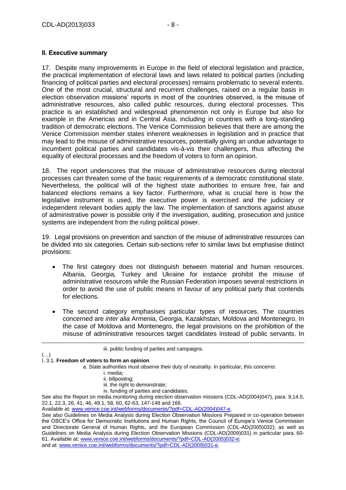## <span id="page-7-0"></span>**II. Executive summary**

17. Despite many improvements in Europe in the field of electoral legislation and practice, the practical implementation of electoral laws and laws related to political parties (including financing of political parties and electoral processes) remains problematic to several extents. One of the most crucial, structural and recurrent challenges, raised on a regular basis in election observation missions' reports in most of the countries observed, is the misuse of administrative resources, also called public resources, during electoral processes. This practice is an established and widespread phenomenon not only in Europe but also for example in the Americas and in Central Asia, including in countries with a long-standing tradition of democratic elections. The Venice Commission believes that there are among the Venice Commission member states inherent weaknesses in legislation and in practice that may lead to the misuse of administrative resources, potentially giving an undue advantage to incumbent political parties and candidates vis-à-vis their challengers, thus affecting the equality of electoral processes and the freedom of voters to form an opinion.

18. The report underscores that the misuse of administrative resources during electoral processes can threaten some of the basic requirements of a democratic constitutional state. Nevertheless, the political will of the highest state authorities to ensure free, fair and balanced elections remains a key factor. Furthermore, what is crucial here is how the legislative instrument is used, the executive power is exercised and the judiciary or independent relevant bodies apply the law. The implementation of sanctions against abuse of administrative power is possible only if the investigation, auditing, prosecution and justice systems are independent from the ruling political power.

19. Legal provisions on prevention and sanction of the misuse of administrative resources can be divided into six categories. Certain sub-sections refer to similar laws but emphasise distinct provisions:

- The first category does not distinguish between material and human resources. Albania, Georgia, Turkey and Ukraine for instance prohibit the misuse of administrative resources while the Russian Federation imposes several restrictions in order to avoid the use of public means in favour of any political party that contends for elections.
- The second category emphasises particular types of resources. The countries concerned are *inter alia* Armenia, Georgia, Kazakhstan, Moldova and Montenegro. In the case of Moldova and Montenegro, the legal provisions on the prohibition of the misuse of administrative resources target candidates instead of public servants. In

iii. public funding of parties and campaigns.

#### $(\ldots)$ I. 3.1. **Freedom of voters to form an opinion**

-

a. State authorities must observe their duty of neutrality. In particular, this concerns:

- i. media;
- ii. billposting;
- iii. the right to demonstrate;
- iv. funding of parties and candidates.

See also the Report on media monitoring during election observation missions (CDL-AD(2004)047), para. 9,14.5, 22.1, 22.3, 26, 41, 46, 49.1, 58, 60, 62-63, 147-148 and 166.

Available at[: www.venice.coe.int/webforms/documents/?pdf=CDL-AD\(2004\)047-e.](http://www.venice.coe.int/webforms/documents/?pdf=CDL-AD(2004)047-e)

See also Guidelines on Media Analysis during Election Observation Missions Prepared in co-operation between the OSCE's Office for Democratic Institutions and Human Rights, the Council of Europe's Venice Commission and Directorate General of Human Rights, and the European Commission (CDL-AD(2005)032); as well as Guidelines on Media Analysis during Election Observation Missions (CDL-AD(2009)031) in particular para. 60- 61. Available at[: www.venice.coe.int/webforms/documents/?pdf=CDL-AD\(2005\)032-e;](http://www.venice.coe.int/webforms/documents/?pdf=CDL-AD(2005)032-e) and at: [www.venice.coe.int/webforms/documents/?pdf=CDL-AD\(2009\)031-e.](http://www.venice.coe.int/webforms/documents/?pdf=CDL-AD(2009)031-e)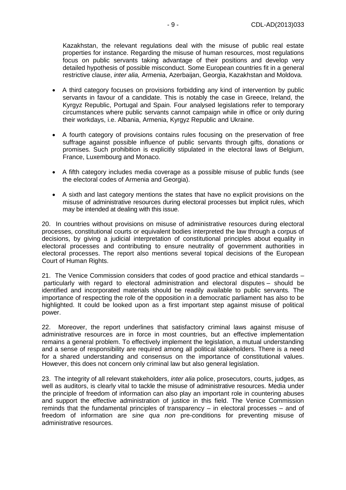Kazakhstan, the relevant regulations deal with the misuse of public real estate properties for instance. Regarding the misuse of human resources, most regulations focus on public servants taking advantage of their positions and develop very detailed hypothesis of possible misconduct. Some European countries fit in a general restrictive clause, *inter alia,* Armenia, Azerbaijan, Georgia, Kazakhstan and Moldova.

- A third category focuses on provisions forbidding any kind of intervention by public servants in favour of a candidate. This is notably the case in Greece, Ireland, the Kyrgyz Republic, Portugal and Spain. Four analysed legislations refer to temporary circumstances where public servants cannot campaign while in office or only during their workdays, i.e. Albania, Armenia, Kyrgyz Republic and Ukraine.
- A fourth category of provisions contains rules focusing on the preservation of free suffrage against possible influence of public servants through gifts, donations or promises. Such prohibition is explicitly stipulated in the electoral laws of Belgium, France, Luxembourg and Monaco.
- A fifth category includes media coverage as a possible misuse of public funds (see the electoral codes of Armenia and Georgia).
- A sixth and last category mentions the states that have no explicit provisions on the misuse of administrative resources during electoral processes but implicit rules, which may be intended at dealing with this issue.

20. In countries without provisions on misuse of administrative resources during electoral processes, constitutional courts or equivalent bodies interpreted the law through a corpus of decisions, by giving a judicial interpretation of constitutional principles about equality in electoral processes and contributing to ensure neutrality of government authorities in electoral processes. The report also mentions several topical decisions of the European Court of Human Rights.

21. The Venice Commission considers that codes of good practice and ethical standards – particularly with regard to electoral administration and electoral disputes – should be identified and incorporated materials should be readily available to public servants*.* The importance of respecting the role of the opposition in a democratic parliament has also to be highlighted. It could be looked upon as a first important step against misuse of political power.

22. Moreover, the report underlines that satisfactory criminal laws against misuse of administrative resources are in force in most countries, but an effective implementation remains a general problem. To effectively implement the legislation, a mutual understanding and a sense of responsibility are required among all political stakeholders. There is a need for a shared understanding and consensus on the importance of constitutional values. However, this does not concern only criminal law but also general legislation.

23. The integrity of all relevant stakeholders, *inter alia* police, prosecutors, courts, judges, as well as auditors, is clearly vital to tackle the misuse of administrative resources. Media under the principle of freedom of information can also play an important role in countering abuses and support the effective administration of justice in this field. The Venice Commission reminds that the fundamental principles of transparency – in electoral processes – and of freedom of information are *sine qua non* pre-conditions for preventing misuse of administrative resources.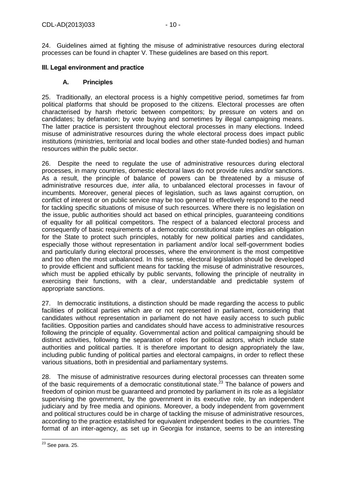24. Guidelines aimed at fighting the misuse of administrative resources during electoral processes can be found in chapter V. These guidelines are based on this report.

## <span id="page-9-0"></span>**III. Legal environment and practice**

## **A. Principles**

<span id="page-9-1"></span>25. Traditionally, an electoral process is a highly competitive period, sometimes far from political platforms that should be proposed to the citizens. Electoral processes are often characterised by harsh rhetoric between competitors; by pressure on voters and on candidates; by defamation; by vote buying and sometimes by illegal campaigning means. The latter practice is persistent throughout electoral processes in many elections. Indeed misuse of administrative resources during the whole electoral process does impact public institutions (ministries, territorial and local bodies and other state-funded bodies) and human resources within the public sector.

26. Despite the need to regulate the use of administrative resources during electoral processes, in many countries, domestic electoral laws do not provide rules and/or sanctions. As a result, the principle of balance of powers can be threatened by a misuse of administrative resources due, *inter alia*, to unbalanced electoral processes in favour of incumbents. Moreover, general pieces of legislation, such as laws against corruption, on conflict of interest or on public service may be too general to effectively respond to the need for tackling specific situations of misuse of such resources. Where there is no legislation on the issue, public authorities should act based on ethical principles, guaranteeing conditions of equality for all political competitors. The respect of a balanced electoral process and consequently of basic requirements of a democratic constitutional state implies an obligation for the State to protect such principles, notably for new political parties and candidates, especially those without representation in parliament and/or local self-government bodies and particularly during electoral processes, where the environment is the most competitive and too often the most unbalanced. In this sense, electoral legislation should be developed to provide efficient and sufficient means for tackling the misuse of administrative resources, which must be applied ethically by public servants, following the principle of neutrality in exercising their functions, with a clear, understandable and predictable system of appropriate sanctions.

27. In democratic institutions, a distinction should be made regarding the access to public facilities of political parties which are or not represented in parliament, considering that candidates without representation in parliament do not have easily access to such public facilities. Opposition parties and candidates should have access to administrative resources following the principle of equality. Governmental action and political campaigning should be distinct activities, following the separation of roles for political actors, which include state authorities and political parties*.* It is therefore important to design appropriately the law, including public funding of political parties and electoral campaigns, in order to reflect these various situations, both in presidential and parliamentary systems.

28. The misuse of administrative resources during electoral processes can threaten some of the basic requirements of a democratic constitutional state.<sup>23</sup> The balance of powers and freedom of opinion must be guaranteed and promoted by parliament in its role as a legislator supervising the government, by the government in its executive role, by an independent judiciary and by free media and opinions. Moreover, a body independent from government and political structures could be in charge of tackling the misuse of administrative resources, according to the practice established for equivalent independent bodies in the countries. The format of an inter-agency, as set up in Georgia for instance, seems to be an interesting

<sup>-</sup> $^{23}$  See para. 25.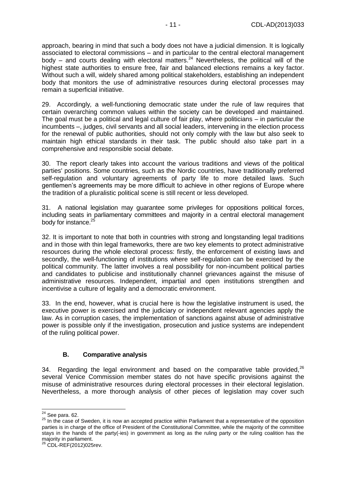approach, bearing in mind that such a body does not have a judicial dimension. It is logically associated to electoral commissions – and in particular to the central electoral management body – and courts dealing with electoral matters.<sup>24</sup> Nevertheless, the political will of the highest state authorities to ensure free, fair and balanced elections remains a key factor. Without such a will, widely shared among political stakeholders, establishing an independent body that monitors the use of administrative resources during electoral processes may remain a superficial initiative.

29. Accordingly*,* a well-functioning democratic state under the rule of law requires that certain overarching common values within the society can be developed and maintained. The goal must be a political and legal culture of fair play, where politicians – in particular the incumbents –, judges, civil servants and all social leaders, intervening in the election process for the renewal of public authorities*,* should not only comply with the law but also seek to maintain high ethical standards in their task. The public should also take part in a comprehensive and responsible social debate.

30. The report clearly takes into account the various traditions and views of the political parties' positions. Some countries, such as the Nordic countries, have traditionally preferred self-regulation and voluntary agreements of party life to more detailed laws. Such gentlemen's agreements may be more difficult to achieve in other regions of Europe where the tradition of a pluralistic political scene is still recent or less developed.

31. A national legislation may guarantee some privileges for oppositions political forces, including seats in parliamentary committees and majority in a central electoral management body for instance.<sup>25</sup>

32. It is important to note that both in countries with strong and longstanding legal traditions and in those with thin legal frameworks, there are two key elements to protect administrative resources during the whole electoral process: firstly, the enforcement of existing laws and secondly, the well-functioning of institutions where self-regulation can be exercised by the political community. The latter involves a real possibility for non-incumbent political parties and candidates to publicise and institutionally channel grievances against the misuse of administrative resources. Independent, impartial and open institutions strengthen and incentivise a culture of legality and a democratic environment.

33. In the end, however, what is crucial here is how the legislative instrument is used, the executive power is exercised and the judiciary or independent relevant agencies apply the law. As in corruption cases, the implementation of sanctions against abuse of administrative power is possible only if the investigation, prosecution and justice systems are independent of the ruling political power.

## **B. Comparative analysis**

<span id="page-10-0"></span>34. Regarding the legal environment and based on the comparative table provided, $^{26}$ several Venice Commission member states do not have specific provisions against the misuse of administrative resources during electoral processes in their electoral legislation. Nevertheless, a more thorough analysis of other pieces of legislation may cover such

<sup>-</sup> $24$  See para. 62.

<sup>&</sup>lt;sup>25</sup> In the case of Sweden, it is now an accepted practice within Parliament that a representative of the opposition parties is in charge of the office of President of the Constitutional Committee, while the majority of the committee stays in the hands of the party(-ies) in government as long as the ruling party or the ruling coalition has the majority in parliament.

 $^{\circ}$  CDL-REF(2012)025rev.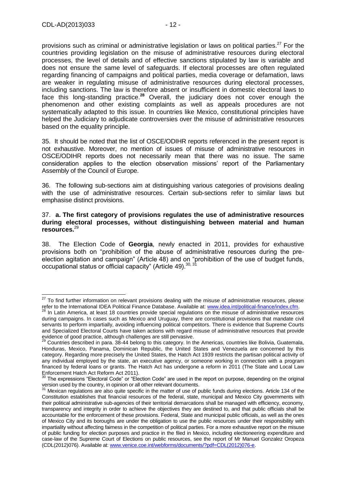-

provisions such as criminal or administrative legislation or laws on political parties.<sup>27</sup> For the countries providing legislation on the misuse of administrative resources during electoral processes, the level of details and of effective sanctions stipulated by law is variable and does not ensure the same level of safeguards. If electoral processes are often regulated regarding financing of campaigns and political parties, media coverage or defamation, laws are weaker in regulating misuse of administrative resources during electoral processes, including sanctions. The law is therefore absent or insufficient in domestic electoral laws to face this long-standing practice.**<sup>28</sup>** Overall, the judiciary does not cover enough the phenomenon and other existing complaints as well as appeals procedures are not systematically adapted to this issue. In countries like Mexico, constitutional principles have helped the Judiciary to adjudicate controversies over the misuse of administrative resources based on the equality principle.

35. It should be noted that the list of OSCE/ODIHR reports referenced in the present report is not exhaustive. Moreover, no mention of issues of misuse of administrative resources in OSCE/ODIHR reports does not necessarily mean that there was no issue. The same consideration applies to the election observation missions' report of the Parliamentary Assembly of the Council of Europe.

36. The following sub-sections aim at distinguishing various categories of provisions dealing with the use of administrative resources. Certain sub-sections refer to similar laws but emphasise distinct provisions.

#### 37. **a. The first category of provisions regulates the use of administrative resources during electoral processes, without distinguishing between material and human resources.** 29

38. The Election Code of **Georgia**, newly enacted in 2011, provides for exhaustive provisions both on "prohibition of the abuse of administrative resources during the preelection agitation and campaign" (Article 48) and on "prohibition of the use of budget funds, occupational status or official capacity" (Article 49).<sup>30, 31</sup>

 $27$  To find further information on relevant provisions dealing with the misuse of administrative resources, please refer to the International IDEA Political Finance Database. Available at[: www.idea.int/political-finance/index.cfm.](http://www.idea.int/political-finance/index.cfm)

In Latin America, at least 18 countries provide special regulations on the misuse of administrative resources during campaigns. In cases such as Mexico and Uruguay, there are constitutional provisions that mandate civil servants to perform impartially, avoiding influencing political competitors. There is evidence that Supreme Courts and Specialized Electoral Courts have taken actions with regard misuse of administrative resources that provide evidence of good practice, although challenges are still pervasive.

 $^{29}$  Countries described in para. 38-44 belong to this category. In the Americas, countries like Bolivia, Guatemala, Honduras, Mexico, Panama, Dominican Republic, the United States and Venezuela are concerned by this category. Regarding more precisely the United States, the Hatch Act 1939 restricts the partisan political activity of any individual employed by the state, an executive agency, or someone working in connection with a program financed by federal loans or grants. The Hatch Act has undergone a reform in 2011 (The State and Local Law Enforcement Hatch Act Reform Act 2011).

 $30$  The expressions "Electoral Code" or "Election Code" are used in the report on purpose, depending on the original version used by the country, in opinion or all other relevant documents.

 $31$  Mexican regulations are also quite specific in the matter of use of public funds during elections. Article 134 of the Constitution establishes that financial resources of the federal, state, municipal and Mexico City governments with their political administrative sub-agencies of their territorial demarcations shall be managed with efficiency, economy, transparency and integrity in order to achieve the objectives they are destined to, and that public officials shall be accountable for the enforcement of these provisions. Federal, State and municipal public officials, as well as the ones of Mexico City and its boroughs are under the obligation to use the public resources under their responsibility with impartiality without affecting fairness in the competition of political parties. For a more exhaustive report on the misuse of public funding for election purposes and practice in the filed in Mexico, including electioneering expenditure and case-law of the Supreme Court of Elections on public resources, see the report of Mr Manuel Gonzalez Oropeza (CDL(2012)076). Available at: [www.venice.coe.int/webforms/documents/?pdf=CDL\(2012\)076-e.](http://www.venice.coe.int/webforms/documents/?pdf=CDL(2012)076-e)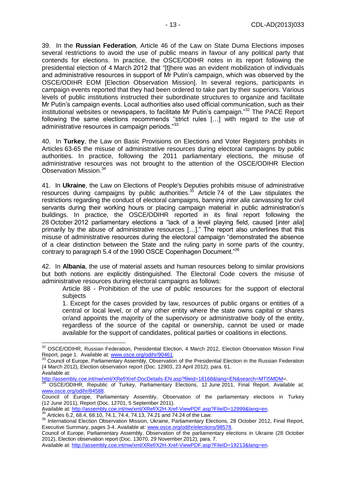39. In the **Russian Federation**, Article 46 of the Law on State Duma Elections imposes several restrictions to avoid the use of public means in favour of any political party that contends for elections. In practice, the OSCE/ODIHR notes in its report following the presidential election of 4 March 2012 that "[t]here was an evident mobilization of individuals and administrative resources in support of Mr Putin's campaign, which was observed by the OSCE/ODIHR EOM [Election Observation Mission]. In several regions, participants in campaign events reported that they had been ordered to take part by their superiors. Various levels of public institutions instructed their subordinate structures to organize and facilitate Mr Putin's campaign events. Local authorities also used official communication, such as their institutional websites or newspapers, to facilitate Mr Putin's campaign."<sup>32</sup> The PACE Report following the same elections recommends "strict rules […] with regard to the use of administrative resources in campaign periods."33

40. In **Turkey**, the Law on Basic Provisions on Elections and Voter Registers prohibits in Articles 63-65 the misuse of administrative resources during electoral campaigns by public authorities. In practice, following the 2011 parliamentary elections, the misuse of administrative resources was not brought to the attention of the OSCE/ODIHR Election Observation Mission. 34

41. In **Ukraine**, the Law on Elections of People's Deputies prohibits misuse of administrative resources during campaigns by public authorities.<sup>35</sup> Article 74 of the Law stipulates the restrictions regarding the conduct of electoral campaigns, banning *inter alia* canvassing for civil servants during their working hours or placing campaign material in public administration's buildings. In practice, the OSCE/ODIHR reported in its final report following the 28 October 2012 parliamentary elections a "lack of a level playing field, caused [*inter alia*] primarily by the abuse of administrative resources […]." The report also underlines that this misuse of administrative resources during the electoral campaign "demonstrated the absence of a clear distinction between the State and the ruling party in some parts of the country, contrary to paragraph 5.4 of the 1990 OSCE Copenhagen Document."<sup>36</sup>

42. In **Albania**, the use of material assets and human resources belong to similar provisions but both notions are explicitly distinguished. The Electoral Code covers the misuse of administrative resources during electoral campaigns as follows:

Article 88 - Prohibition of the use of public resources for the support of electoral subjects

1. Except for the cases provided by law, resources of public organs or entities of a central or local level, or of any other entity where the state owns capital or shares or/and appoints the majority of the supervisory or administrative body of the entity, regardless of the source of the capital or ownership, cannot be used or made available for the support of candidates, political parties or coalitions in elections.

<sup>35</sup> Articles 6.2, 68.4, 68.10, 74.1, 74.4, 74.13, 74.21 and 74.24 of the Law.

-

<sup>&</sup>lt;sup>32</sup> OSCE/ODIHR, Russian Federation, Presidential Election, 4 March 2012, Election Observation Mission Final Report, page 1. Available at[: www.osce.org/odihr/90461.](http://www.osce.org/odihr/90461)

<sup>33</sup> Council of Europe, Parliamentary Assembly, Observation of the Presidential Election in the Russian Federation (4 March 2012), Election observation report (Doc. 12903, 23 April 2012), para. 61. Available at:

[http://assembly.coe.int/nw/xml/XRef/Xref-DocDetails-EN.asp?fileid=18168&lang=EN&search=MTI5MDM=](http://assembly.coe.int/nw/xml/XRef/Xref-DocDetails-EN.asp?fileid=18168&lang=EN&search=MTI5MDM).

<sup>34</sup> OSCE/ODIHR, Republic of Turkey, Parliamentary Elections, 12 June 2011, Final Report. Available at: [www.osce.org/odihr/84588.](http://www.osce.org/odihr/84588)

Council of Europe, Parliamentary Assembly, Observation of the parliamentary elections in Turkey (12 June 2011), Report (Doc. 12701, 5 September 2011).

Available at[: http://assembly.coe.int/nw/xml/XRef/X2H-Xref-ViewPDF.asp?FileID=12999&lang=en.](http://assembly.coe.int/nw/xml/XRef/X2H-Xref-ViewPDF.asp?FileID=12999&lang=en)

<sup>36</sup> International Election Observation Mission, Ukraine, Parliamentary Elections, 28 October 2012, Final Report, Executive Summary, pages 3-4. Available at[: www.osce.org/odihr/elections/98578.](http://www.osce.org/odihr/elections/98578)

Council of Europe, Parliamentary Assembly, Observation of the parliamentary elections in Ukraine (28 October 2012), Election observation report (Doc. 13070, 29 November 2012), para. 7.

Available at[: http://assembly.coe.int/nw/xml/XRef/X2H-Xref-ViewPDF.asp?FileID=19213&lang=en.](http://assembly.coe.int/nw/xml/XRef/X2H-Xref-ViewPDF.asp?FileID=19213&lang=en)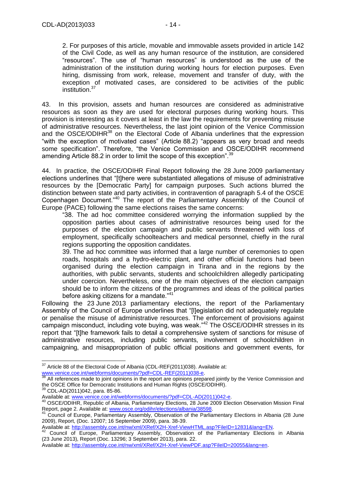2. For purposes of this article, movable and immovable assets provided in article 142 of the Civil Code, as well as any human resource of the institution, are considered "resources". The use of "human resources" is understood as the use of the administration of the institution during working hours for election purposes. Even hiring, dismissing from work, release, movement and transfer of duty, with the exception of motivated cases, are considered to be activities of the public institution.<sup>37</sup>

43. In this provision, assets and human resources are considered as administrative resources as soon as they are used for electoral purposes during working hours. This provision is interesting as it covers at least in the law the requirements for preventing misuse of administrative resources. Nevertheless, the last joint opinion of the Venice Commission and the OSCE/ODIHR<sup>38</sup> on the Electoral Code of Albania underlines that the expression "with the exception of motivated cases" (Article 88.2) "appears as very broad and needs some specification". Therefore, "the Venice Commission and OSCE/ODIHR recommend amending Article 88.2 in order to limit the scope of this exception".<sup>39</sup>

44. In practice, the OSCE/ODIHR Final Report following the 28 June 2009 parliamentary elections underlines that "[t]here were substantiated allegations of misuse of administrative resources by the [Democratic Party] for campaign purposes. Such actions blurred the distinction between state and party activities, in contravention of paragraph 5.4 of the OSCE Copenhagen Document."<sup>40</sup> The report of the Parliamentary Assembly of the Council of Europe (PACE) following the same elections raises the same concerns:

"38. The ad hoc committee considered worrying the information supplied by the opposition parties about cases of administrative resources being used for the purposes of the election campaign and public servants threatened with loss of employment, specifically schoolteachers and medical personnel, chiefly in the rural regions supporting the opposition candidates.

39. The ad hoc committee was informed that a large number of ceremonies to open roads, hospitals and a hydro-electric plant, and other official functions had been organised during the election campaign in Tirana and in the regions by the authorities, with public servants, students and schoolchildren allegedly participating under coercion. Nevertheless, one of the main objectives of the election campaign should be to inform the citizens of the programmes and ideas of the political parties before asking citizens for a mandate."<sup>41</sup>

Following the 23 June 2013 parliamentary elections, the report of the Parliamentary Assembly of the Council of Europe underlines that "[l]egislation did not adequately regulate or penalise the misuse of administrative resources. The enforcement of provisions against campaign misconduct, including vote buying, was weak."<sup>42</sup> The OSCE/ODIHR stresses in its report that "[t]he framework fails to detail a comprehensive system of sanctions for misuse of administrative resources, including public servants, involvement of schoolchildren in campaigning, and misappropriation of public official positions and government events, for

<sup>-</sup> $37$  Article 88 of the Electoral Code of Albania (CDL-REF(2011)038). Available at: [www.venice.coe.int/webforms/documents/?pdf=CDL-REF\(2011\)038-e.](http://www.venice.coe.int/webforms/documents/?pdf=CDL-REF(2011)038-e)

All references made to joint opinions in the report are opinions prepared jointly by the Venice Commission and the OSCE Office for Democratic Institutions and Human Rights (OSCE/ODIHR).

<sup>39</sup> CDL-AD(2011)042, para. 85-86.

Available at[: www.venice.coe.int/webforms/documents/?pdf=CDL-AD\(2011\)042-e.](http://www.venice.coe.int/webforms/documents/?pdf=CDL-AD(2011)042-e)

<sup>40</sup> OSCE/ODIHR, Republic of Albania, Parliamentary Elections, 28 June 2009 Election Observation Mission Final Report, page 2. Available at: [www.osce.org/odihr/elections/albania/38598.](http://www.osce.org/odihr/elections/albania/38598)<br>Al-Council of Europe P. H.

<sup>41</sup> Council of Europe, Parliamentary Assembly, Observation of the Parliamentary Elections in Albania (28 June 2009), Report, (Doc. 12007; 16 September 2009), para. 38-39.

Available at[: http://assembly.coe.int/nw/xml/XRef/X2H-Xref-ViewHTML.asp?FileID=12831&lang=EN.](http://assembly.coe.int/nw/xml/XRef/X2H-Xref-ViewHTML.asp?FileID=12831&lang=EN)

Council of Europe, Parliamentary Assembly, Observation of the Parliamentary Elections in Albania (23 June 2013), Report (Doc. 13296; 3 September 2013), para. 22.

Available at[: http://assembly.coe.int/nw/xml/XRef/X2H-Xref-ViewPDF.asp?FileID=20055&lang=en.](http://assembly.coe.int/nw/xml/XRef/X2H-Xref-ViewPDF.asp?FileID=20055&lang=en)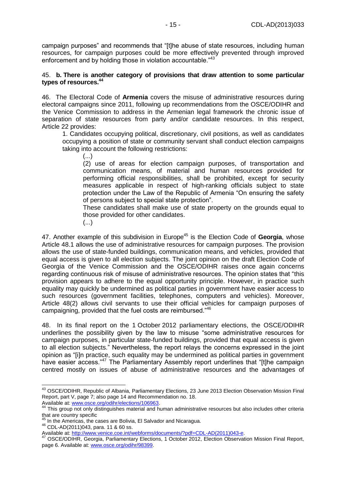campaign purposes" and recommends that "[t]he abuse of state resources, including human resources, for campaign purposes could be more effectively prevented through improved enforcement and by holding those in violation accountable."<sup>43</sup>

#### 45. **b. There is another category of provisions that draw attention to some particular types of resources. 44**

46. The Electoral Code of **Armenia** covers the misuse of administrative resources during electoral campaigns since 2011, following up recommendations from the OSCE/ODIHR and the Venice Commission to address in the Armenian legal framework the chronic issue of separation of state resources from party and/or candidate resources. In this respect, Article 22 provides:

1. Candidates occupying political, discretionary, civil positions, as well as candidates occupying a position of state or community servant shall conduct election campaigns taking into account the following restrictions:

(...)

(2) use of areas for election campaign purposes, of transportation and communication means, of material and human resources provided for performing official responsibilities, shall be prohibited, except for security measures applicable in respect of high-ranking officials subject to state protection under the Law of the Republic of Armenia "On ensuring the safety of persons subject to special state protection".

These candidates shall make use of state property on the grounds equal to those provided for other candidates.

(...)

47. Another example of this subdivision in Europe<sup>45</sup> is the Election Code of Georgia, whose Article 48.1 allows the use of administrative resources for campaign purposes. The provision allows the use of state-funded buildings, communication means, and vehicles, provided that equal access is given to all election subjects. The joint opinion on the draft Election Code of Georgia of the Venice Commission and the OSCE/ODIHR raises once again concerns regarding continuous risk of misuse of administrative resources. The opinion states that "this provision appears to adhere to the equal opportunity principle. However, in practice such equality may quickly be undermined as political parties in government have easier access to such resources (government facilities, telephones, computers and vehicles). Moreover, Article 48(2) allows civil servants to use their official vehicles for campaign purposes of campaigning, provided that the fuel costs are reimbursed."<sup>46</sup>

48. In its final report on the 1 October 2012 parliamentary elections, the OSCE/ODIHR underlines the possibility given by the law to misuse "some administrative resources for campaign purposes, in particular state-funded buildings, provided that equal access is given to all election subjects." Nevertheless, the report relays the concerns expressed in the joint opinion as "[i]n practice, such equality may be undermined as political parties in government have easier access."<sup>47</sup> The Parliamentary Assembly report underlines that "[t]he campaign centred mostly on issues of abuse of administrative resources and the advantages of

 $\overline{a}$ <sup>43</sup> OSCE/ODIHR, Republic of Albania, Parliamentary Elections, 23 June 2013 Election Observation Mission Final Report, part V, page 7; also page 14 and Recommendation no. 18. Available at[: www.osce.org/odihr/elections/106963.](http://www.osce.org/odihr/elections/106963)

This group not only distinguishes material and human administrative resources but also includes other criteria that are country specific

 $45$  In the Americas, the cases are Bolivia, El Salvador and Nicaragua.

<sup>46</sup> CDL-AD(2011)043, para. 11 & 60 ss.

Available at[: http://www.venice.coe.int/webforms/documents/?pdf=CDL-AD\(2011\)043-e.](http://www.venice.coe.int/webforms/documents/?pdf=CDL-AD(2011)043-e)

<sup>&</sup>lt;sup>47</sup> OSCE/ODIHR, Georgia, Parliamentary Elections, 1 October 2012, Election Observation Mission Final Report, page 6. Available at: [www.osce.org/odihr/98399.](http://www.osce.org/odihr/98399)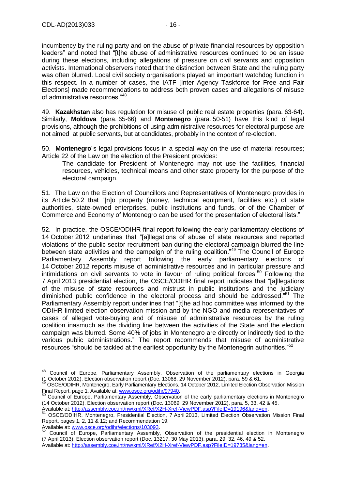incumbency by the ruling party and on the abuse of private financial resources by opposition leaders" and noted that "[t]he abuse of administrative resources continued to be an issue during these elections, including allegations of pressure on civil servants and opposition activists. International observers noted that the distinction between State and the ruling party was often blurred. Local civil society organisations played an important watchdog function in this respect. In a number of cases, the IATF [Inter Agency Taskforce for Free and Fair Elections] made recommendations to address both proven cases and allegations of misuse of administrative resources."<sup>48</sup>

49. **Kazakhstan** also has regulation for misuse of public real estate properties (para. 63-64). Similarly, **Moldova** (para. 65-66) and **Montenegro** (para. 50-51) have this kind of legal provisions, although the prohibitions of using administrative resources for electoral purpose are not aimed at public servants, but at candidates, probably in the context of re-election.

50. **Montenegro**´s legal provisions focus in a special way on the use of material resources; Article 22 of the Law on the election of the President provides:

The candidate for President of Montenegro may not use the facilities, financial resources, vehicles, technical means and other state property for the purpose of the electoral campaign.

51. The Law on the Election of Councillors and Representatives of Montenegro provides in its Article 50.2 that "[n]o property (money, technical equipment, facilities etc.) of state authorities, state-owned enterprises, public institutions and funds, or of the Chamber of Commerce and Economy of Montenegro can be used for the presentation of electoral lists."

52. In practice, the OSCE/ODIHR final report following the early parliamentary elections of 14 October 2012 underlines that "[a]llegations of abuse of state resources and reported violations of the public sector recruitment ban during the electoral campaign blurred the line between state activities and the campaign of the ruling coalition."<sup>49</sup> The Council of Europe Parliamentary Assembly report following the early parliamentary elections of 14 October 2012 reports misuse of administrative resources and in particular pressure and intimidations on civil servants to vote in favour of ruling political forces.<sup>50</sup> Following the 7 April 2013 presidential election, the OSCE/ODIHR final report indicates that "[a]llegations of the misuse of state resources and mistrust in public institutions and the judiciary diminished public confidence in the electoral process and should be addressed."<sup>51</sup> The Parliamentary Assembly report underlines that "[t]he ad hoc committee was informed by the ODIHR limited election observation mission and by the NGO and media representatives of cases of alleged vote-buying and of misuse of administrative resources by the ruling coalition inasmuch as the dividing line between the activities of the State and the election campaign was blurred. Some 40% of jobs in Montenegro are directly or indirectly tied to the various public administrations." The report recommends that misuse of administrative resources "should be tackled at the earliest opportunity by the Montenegrin authorities."<sup>52</sup>

Available at[: http://assembly.coe.int/nw/xml/XRef/X2H-Xref-ViewPDF.asp?FileID=19196&lang=en.](http://assembly.coe.int/nw/xml/XRef/X2H-Xref-ViewPDF.asp?FileID=19196&lang=en)

 $\overline{a}$ 

<sup>&</sup>lt;sup>48</sup> Council of Europe, Parliamentary Assembly, Observation of the parliamentary elections in Georgia (1 October 2012), Election observation report (Doc. 13068, 29 November 2012), para. 59 & 61.

<sup>49</sup> OSCE/ODIHR, Montenegro, Early Parliamentary Elections, 14 October 2012, Limited Election Observation Mission Final Report, page 1. Available at[: www.osce.org/odihr/97940.](http://www.osce.org/odihr/97940)

<sup>&</sup>lt;sup>50</sup> Council of Europe, Parliamentary Assembly, Observation of the early parliamentary elections in Montenegro (14 October 2012), Election observation report (Doc. 13069, 29 November 2012), para. 5, 33, 42 & 45.

<sup>51</sup> OSCE/ODIHR, Montenegro, Presidential Election, 7 April 2013, Limited Election Observation Mission Final Report, pages 1, 2, 11 & 12; and Recommendation 19.

Available at[: www.osce.org/odihr/elections/103093.](http://www.osce.org/odihr/elections/103093)

<sup>52</sup> Council of Europe, Parliamentary Assembly, Observation of the presidential election in Montenegro (7 April 2013), Election observation report (Doc. 13217, 30 May 2013), para. 29, 32, 46, 49 & 52.

Available at[: http://assembly.coe.int/nw/xml/XRef/X2H-Xref-ViewPDF.asp?FileID=19735&lang=en.](http://assembly.coe.int/nw/xml/XRef/X2H-Xref-ViewPDF.asp?FileID=19735&lang=en)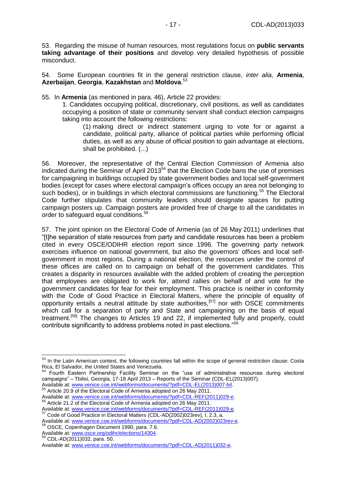53. Regarding the misuse of human resources, most regulations focus on **public servants taking advantage of their positions** and develop very detailed hypothesis of possible misconduct.

54. Some European countries fit in the general restriction clause, *inter alia,* **Armenia**, **Azerbaijan**, **Georgia**, **Kazakhstan** and **Moldova**. 53

55. In **Armenia** (as mentioned in para. 46), Article 22 provides:

1. Candidates occupying political, discretionary, civil positions, as well as candidates occupying a position of state or community servant shall conduct election campaigns taking into account the following restrictions:

(1) making direct or indirect statement urging to vote for or against a candidate, political party, alliance of political parties while performing official duties, as well as any abuse of official position to gain advantage at elections, shall be prohibited. (...)

56. Moreover, the representative of the Central Election Commission of Armenia also indicated during the Seminar of April 2013<sup>54</sup> that the Election Code bans the use of premises for campaigning in buildings occupied by state government bodies and local self-government bodies (except for cases where electoral campaign's offices occupy an area not belonging to such bodies), or in buildings in which electoral commissions are functioning.<sup>55</sup> The Electoral Code further stipulates that community leaders should designate spaces for putting campaign posters up. Campaign posters are provided free of charge to all the candidates in order to safeguard equal conditions.<sup>56</sup>

57. The joint opinion on the Electoral Code of Armenia (as of 26 May 2011) underlines that "[t]he separation of state resources from party and candidate resources has been a problem cited in every OSCE/ODIHR election report since 1996. The governing party network exercises influence on national government, but also the governors' offices and local selfgovernment in most regions. During a national election, the resources under the control of these offices are called on to campaign on behalf of the government candidates. This creates a disparity in resources available with the added problem of creating the perception that employees are obligated to work for, attend rallies on behalf of and vote for the government candidates for fear for their employment. This practice is neither in conformity with the Code of Good Practice in Electoral Matters, where the principle of equality of opportunity entails a neutral attitude by state authorities,<sup>[57]</sup> nor with OSCE commitments which call for a separation of party and State and campaigning on the basis of equal treatment.<sup>[58]</sup> The changes to Articles 19 and 22, if implemented fully and properly, could contribute significantly to address problems noted in past elections."<sup>59</sup>

 $\overline{\phantom{a}}$ 

<sup>&</sup>lt;sup>53</sup> In the Latin American context, the following countries fall within the scope of general restriction clause: Costa Rica, El Salvador, the United States and Venezuela.<br>
<sup>54</sup> Equator, the United States and Venezuela.

<sup>54</sup> Fourth Eastern Partnership Facility Seminar on the "use of administrative resources during electoral campaigns" – Tbilisi, Georgia, 17-18 April 2013 – Reports of the Seminar (CDL-EL(2013)007).

Available at[: www.venice.coe.int/webforms/documents/?pdf=CDL-EL\(2013\)007-bil.](http://www.venice.coe.int/webforms/documents/?pdf=CDL-EL(2013)007-bil) <sup>55</sup> Article 20.9 of the Electoral Code of Armenia adopted on 26 May 2011. Available at[: www.venice.coe.int/webforms/documents/?pdf=CDL-REF\(2011\)029-e.](http://www.venice.coe.int/webforms/documents/?pdf=CDL-REF(2011)029-e)

<sup>56</sup> Article 21.2 of the Electoral Code of Armenia adopted on 26 May 2011.

Available at[: www.venice.coe.int/webforms/documents/?pdf=CDL-REF\(2011\)029-e.](http://www.venice.coe.int/webforms/documents/?pdf=CDL-REF(2011)029-e) <sup>57</sup> Code of Good Practice in Electoral Matters (CDL-AD(2002)023rev), I, 2.3, a.

Available at[: www.venice.coe.int/webforms/documents/?pdf=CDL-AD\(2002\)023rev-e.](http://www.venice.coe.int/webforms/documents/?pdf=CDL-AD(2002)023rev-e) <sup>58</sup> OSCE, Copenhagen Document 1990, para. 7.6.

Available at[: www.osce.org/odihr/elections/14304.](http://www.osce.org/odihr/elections/14304)

<sup>59</sup> CDL-AD(2011)032, para. 50.

Available at[: www.venice.coe.int/webforms/documents/?pdf=CDL-AD\(2011\)032-e.](http://www.venice.coe.int/webforms/documents/?pdf=CDL-AD(2011)032-e)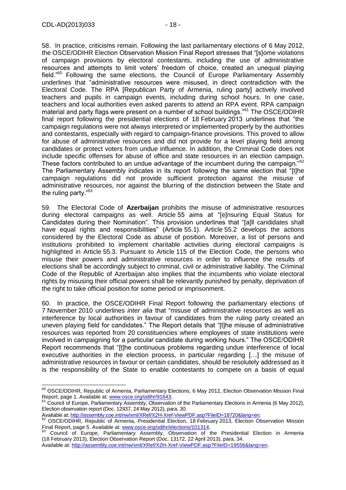58. In practice, criticisms remain. Following the last parliamentary elections of 6 May 2012, the OSCE/ODIHR Election Observation Mission Final Report stresses that "[s]ome violations of campaign provisions by electoral contestants, including the use of administrative resources and attempts to limit voters' freedom of choice, created an unequal playing field."<sup>60</sup> Following the same elections, the Council of Europe Parliamentary Assembly underlines that "administrative resources were misused, in direct contradiction with the Electoral Code. The RPA [Republican Party of Armenia, ruling party] actively involved teachers and pupils in campaign events, including during school hours. In one case, teachers and local authorities even asked parents to attend an RPA event. RPA campaign material and party flags were present on a number of school buildings."<sup>61</sup> The OSCE/ODIHR final report following the presidential elections of 18 February 2013 underlines that "the campaign regulations were not always interpreted or implemented properly by the authorities and contestants, especially with regard to campaign-finance provisions. This proved to allow for abuse of administrative resources and did not provide for a level playing field among candidates or protect voters from undue influence. In addition, the Criminal Code does not include specific offenses for abuse of office and state resources in an election campaign. These factors contributed to an undue advantage of the incumbent during the campaign."<sup>62</sup> The Parliamentary Assembly indicates in its report following the same election that "[t]he campaign regulations did not provide sufficient protection against the misuse of administrative resources, nor against the blurring of the distinction between the State and the ruling party."<sup>63</sup>

59. The Electoral Code of **Azerbaijan** prohibits the misuse of administrative resources during electoral campaigns as well. Article 55 aims at "[e]nsuring Equal Status for Candidates during their Nomination". This provision underlines that "[a]ll candidates shall have equal rights and responsibilities" (Article 55.1). Article 55.2 develops the actions considered by the Electoral Code as abuse of position. Moreover, a list of persons and institutions prohibited to implement charitable activities during electoral campaigns is highlighted in Article 55.3. Pursuant to Article 115 of the Election Code, the persons who misuse their powers and administrative resources in order to influence the results of elections shall be accordingly subject to criminal, civil or administrative liability. The Criminal Code of the Republic of Azerbaijan also implies that the incumbents who violate electoral rights by misusing their official powers shall be relevantly punished by penalty, deprivation of the right to take official position for some period or imprisonment.

60. In practice, the OSCE/ODIHR Final Report following the parliamentary elections of 7 November 2010 underlines *inter alia* that "misuse of administrative resources as well as interference by local authorities in favour of candidates from the ruling party created an uneven playing field for candidates." The Report details that "[t]he misuse of administrative resources was reported from 20 constituencies where employees of state institutions were involved in campaigning for a particular candidate during working hours." The OSCE/ODIHR Report recommends that "[t]he continuous problems regarding undue interference of local executive authorities in the election process, in particular regarding […] the misuse of administrative resources in favour or certain candidates, should be resolutely addressed as it is the responsibility of the State to enable contestants to compete on a basis of equal

Available at[: http://assembly.coe.int/nw/xml/XRef/X2H-Xref-ViewPDF.asp?FileID=18720&lang=en.](http://assembly.coe.int/nw/xml/XRef/X2H-Xref-ViewPDF.asp?FileID=18720&lang=en)

 $\overline{a}$ <sup>60</sup> OSCE/ODIHR, Republic of Armenia, Parliamentary Elections, 6 May 2012, Election Observation Mission Final Report, page 1. Available at: [www.osce.org/odihr/91643.](http://www.osce.org/odihr/91643)

 $61$  Council of Europe, Parliamentary Assembly, Observation of the Parliamentary Elections in Armenia (6 May 2012), Election observation report (Doc. 12937, 24 May 2012), para. 30.

<sup>&</sup>lt;sup>62</sup> OSCE/ODIHR, Republic of Armenia, Presidential Election, 18 February 2013, Election Observation Mission Final Report, page 5. Available at: [www.osce.org/odihr/elections/101314.](http://www.osce.org/odihr/elections/101314)

<sup>63</sup> Council of Europe, Parliamentary Assembly, Observation of the Presidential Election in Armenia (18 February 2013), Election Observation Report (Doc. 13172, 22 April 2013), para. 34.

Available at[: http://assembly.coe.int/nw/xml/XRef/X2H-Xref-ViewPDF.asp?FileID=19556&lang=en.](http://assembly.coe.int/nw/xml/XRef/X2H-Xref-ViewPDF.asp?FileID=19556&lang=en)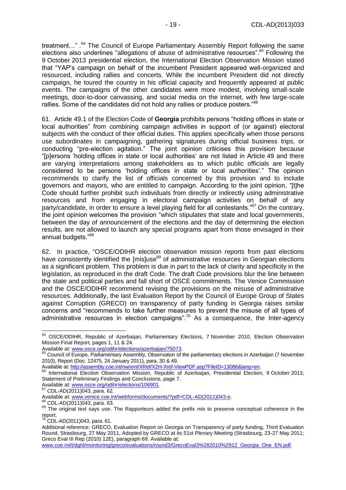treatment...".<sup>64</sup> The Council of Europe Parliamentary Assembly Report following the same elections also underlines "allegations of abuse of administrative resources".<sup>65</sup> Following the 9 October 2013 presidential election, the International Election Observation Mission stated that "YAP's campaign on behalf of the incumbent President appeared well-organized and resourced, including rallies and concerts. While the incumbent President did not directly campaign, he toured the country in his official capacity and frequently appeared at public events. The campaigns of the other candidates were more modest, involving small-scale meetings, door-to-door canvassing, and social media on the internet, with few large-scale rallies. Some of the candidates did not hold any rallies or produce posters."<sup>66</sup>

61. Article 49.1 of the Election Code of **Georgia** prohibits persons "holding offices in state or local authorities" from combining campaign activities in support of (or against) electoral subjects with the conduct of their official duties. This applies specifically when those persons use subordinates in campaigning, gathering signatures during official business trips, or conducting "pre-election agitation." The joint opinion criticises this provision because "[p]ersons 'holding offices in state or local authorities' are not listed in Article 49 and there are varying interpretations among stakeholders as to which public officials are legally considered to be persons 'holding offices in state or local authorities'." The opinion recommends to clarify the list of officials concerned by this provision and to include governors and mayors, who are entitled to campaign. According to the joint opinion, "[t]he Code should further prohibit such individuals from directly or indirectly using administrative resources and from engaging in electoral campaign activities on behalf of any party/candidate, in order to ensure a level playing field for all contestants."<sup>67</sup> On the contrary. the joint opinion welcomes the provision "which stipulates that state and local governments, between the day of announcement of the elections and the day of determining the election results, are not allowed to launch any special programs apart from those envisaged in their annual budgets."<sup>68</sup>

62. In practice, "OSCE/ODIHR election observation mission reports from past elections have consistently identified the  $[mis]use<sup>69</sup> of administrative resources in Georgian elections$ as a significant problem. This problem is due in part to the lack of clarity and specificity in the legislation, as reproduced in the draft Code. The draft Code provisions blur the line between the state and political parties and fall short of OSCE commitments. The Venice Commission and the OSCE/ODIHR recommend revising the provisions on the misuse of administrative resources. Additionally, the last Evaluation Report by the Council of Europe Group of States against Corruption (GRECO) on transparency of party funding in Georgia raises similar concerns and "recommends to take further measures to prevent the misuse of all types of administrative resources in election campaigns".<sup>70</sup> As a consequence, the Inter-agency

Available at[: www.osce.org/odihr/elections/106901.](http://www.osce.org/odihr/elections/106901)

-

Available at[: www.venice.coe.int/webforms/documents/?pdf=CDL-AD\(2011\)043-e.](http://www.venice.coe.int/webforms/documents/?pdf=CDL-AD(2011)043-e)

<sup>68</sup> CDL-AD(2011)043, para. 63.

<sup>&</sup>lt;sup>64</sup> OSCE/ODIHR, Republic of Azerbaijan, Parliamentary Elections, 7 November 2010, Election Observation Mission Final Report, pages 1, 11 & 24.

Available at[: www.osce.org/odihr/elections/azerbaijan/75073.](http://www.osce.org/odihr/elections/azerbaijan/75073)

<sup>&</sup>lt;sup>65</sup> Council of Europe, Parliamentary Assembly, Observation of the parliamentary elections in Azerbaijan (7 November 2010), Report (Doc. 12475, 24 January 2011), para. 30 & 49.

Available at[: http://assembly.coe.int/nw/xml/XRef/X2H-Xref-ViewPDF.asp?FileID=13086&lang=en.](http://assembly.coe.int/nw/xml/XRef/X2H-Xref-ViewPDF.asp?FileID=13086&lang=en)

International Election Observation Mission, Republic of Azerbaijan, Presidential Election, 9 October 2013, Statement of Preliminary Findings and Conclusions, page 7.

<sup>67</sup> CDL-AD(2011)043, para. 62.

<sup>69</sup> The original text says *use*. The Rapporteurs added the prefix *mis* to preserve conceptual coherence in the report.

 $70$  CDL-AD(2011)043, para. 61.

Additional reference: GRECO, Evaluation Report on Georgia on Transparency of party funding, Third Evaluation Round, Strasbourg, 27 May 2011, Adopted by GRECO at its 51st Plenary Meeting (Strasbourg, 23-27 May 2011; Greco Eval III Rep (2010) 12E), paragraph 69. Available at:

[www.coe.int/t/dghl/monitoring/greco/evaluations/round3/GrecoEval3%282010%2912\\_Georgia\\_One\\_EN.pdf.](http://www.coe.int/t/dghl/monitoring/greco/evaluations/round3/GrecoEval3%282010%2912_Georgia_One_EN.pdf)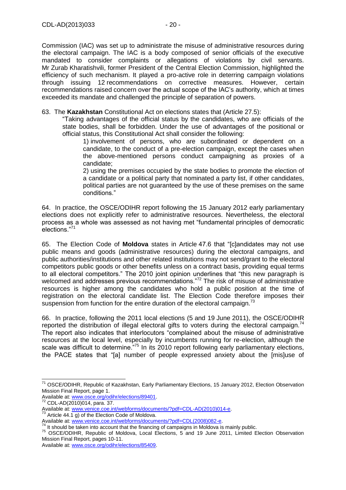Commission (IAC) was set up to administrate the misuse of administrative resources during the electoral campaign. The IAC is a body composed of senior officials of the executive mandated to consider complaints or allegations of violations by civil servants. Mr Zurab Kharatishvili, former President of the Central Election Commission, highlighted the efficiency of such mechanism. It played a pro-active role in deterring campaign violations through issuing 12 recommendations on corrective measures. However, certain recommendations raised concern over the actual scope of the IAC's authority, which at times exceeded its mandate and challenged the principle of separation of powers.

63. The **Kazakhstan** Constitutional Act on elections states that (Article 27.5):

"Taking advantages of the official status by the candidates, who are officials of the state bodies, shall be forbidden. Under the use of advantages of the positional or official status, this Constitutional Act shall consider the following:

1) involvement of persons, who are subordinated or dependent on a candidate, to the conduct of a pre-election campaign, except the cases when the above-mentioned persons conduct campaigning as proxies of a candidate;

2) using the premises occupied by the state bodies to promote the election of a candidate or a political party that nominated a party list, if other candidates, political parties are not guaranteed by the use of these premises on the same conditions."

64. In practice, the OSCE/ODIHR report following the 15 January 2012 early parliamentary elections does not explicitly refer to administrative resources. Nevertheless, the electoral process as a whole was assessed as not having met "fundamental principles of democratic elections."<sup>71</sup>

65. The Election Code of **Moldova** states in Article 47.6 that "[c]andidates may not use public means and goods (administrative resources) during the electoral campaigns, and public authorities/institutions and other related institutions may not send/grant to the electoral competitors public goods or other benefits unless on a contract basis, providing equal terms to all electoral competitors." The 2010 joint opinion underlines that "this new paragraph is welcomed and addresses previous recommendations."<sup>72</sup> The risk of misuse of administrative resources is higher among the candidates who hold a public position at the time of registration on the electoral candidate list. The Election Code therefore imposes their suspension from function for the entire duration of the electoral campaign.<sup>73</sup>

66. In practice, following the 2011 local elections (5 and 19 June 2011), the OSCE/ODIHR reported the distribution of illegal electoral gifts to voters during the electoral campaign.<sup>74</sup> The report also indicates that interlocutors "complained about the misuse of administrative resources at the local level, especially by incumbents running for re-election, although the scale was difficult to determine.<sup>"75</sup> In its 2010 report following early parliamentary elections, the PACE states that "[a] number of people expressed anxiety about the [mis]use of

-

<sup>&</sup>lt;sup>71</sup> OSCE/ODIHR, Republic of Kazakhstan, Early Parliamentary Elections, 15 January 2012, Election Observation Mission Final Report, page 1.

Available at[: www.osce.org/odihr/elections/89401.](http://www.osce.org/odihr/elections/89401)

<sup>72</sup> CDL-AD(2010)014, para. 37.

Available at[: www.venice.coe.int/webforms/documents/?pdf=CDL-AD\(2010\)014-e.](http://www.venice.coe.int/webforms/documents/?pdf=CDL-AD(2010)014-e) Article  $44.1$  g) of the Election Code of Moldova.

Available at[: www.venice.coe.int/webforms/documents/?pdf=CDL\(2008\)082-e.](http://www.venice.coe.int/webforms/documents/?pdf=CDL(2008)082-e)

 $74$  It should be taken into account that the financing of campaigns in Moldova is mainly public.

<sup>75</sup> OSCE/ODIHR, Republic of Moldova, Local Elections, 5 and 19 June 2011, Limited Election Observation Mission Final Report, pages 10-11.

Available at[: www.osce.org/odihr/elections/85409.](http://www.osce.org/odihr/elections/85409)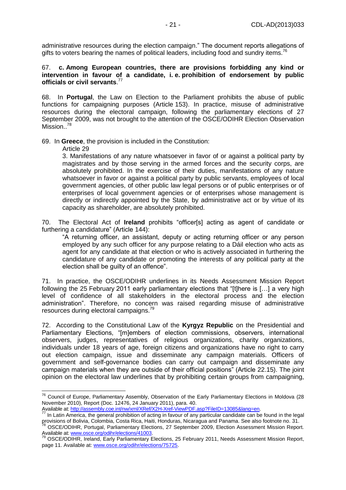administrative resources during the election campaign." The document reports allegations of gifts to voters bearing the names of political leaders, including food and sundry items.<sup>76</sup>

#### 67. **c. Among European countries, there are provisions forbidding any kind or intervention in favour of a candidate, i. e. prohibition of endorsement by public officials or civil servants**. 77

68. In **Portugal**, the Law on Election to the Parliament prohibits the abuse of public functions for campaigning purposes (Article 153). In practice, misuse of administrative resources during the electoral campaign, following the parliamentary elections of 27 September 2009, was not brought to the attention of the OSCE/ODIHR Election Observation Mission..<sup>78</sup>

69. In **Greece**, the provision is included in the Constitution:

Article 29

-

3. Manifestations of any nature whatsoever in favor of or against a political party by magistrates and by those serving in the armed forces and the security corps, are absolutely prohibited. In the exercise of their duties, manifestations of any nature whatsoever in favor or against a political party by public servants, employees of local government agencies, of other public law legal persons or of public enterprises or of enterprises of local government agencies or of enterprises whose management is directly or indirectly appointed by the State, by administrative act or by virtue of its capacity as shareholder, are absolutely prohibited.

70. The Electoral Act of **Ireland** prohibits "officer[s] acting as agent of candidate or furthering a candidature" (Article 144):

"A returning officer, an assistant, deputy or acting returning officer or any person employed by any such officer for any purpose relating to a Dáil election who acts as agent for any candidate at that election or who is actively associated in furthering the candidature of any candidate or promoting the interests of any political party at the election shall be guilty of an offence".

71. In practice, the OSCE/ODIHR underlines in its Needs Assessment Mission Report following the 25 February 2011 early parliamentary elections that "[t]here is […] a very high level of confidence of all stakeholders in the electoral process and the election administration". Therefore, no concern was raised regarding misuse of administrative resources during electoral campaigns.<sup>79</sup>

72. According to the Constitutional Law of the **Kyrgyz Republic** on the Presidential and Parliamentary Elections, "[m]embers of election commissions, observers, international observers, judges, representatives of religious organizations, charity organizations, individuals under 18 years of age, foreign citizens and organizations have no right to carry out election campaign, issue and disseminate any campaign materials. Officers of government and self-governance bodies can carry out campaign and disseminate any campaign materials when they are outside of their official positions" (Article 22.15). The joint opinion on the electoral law underlines that by prohibiting certain groups from campaigning,

Available at[: http://assembly.coe.int/nw/xml/XRef/X2H-Xref-ViewPDF.asp?FileID=13085&lang=en.](http://assembly.coe.int/nw/xml/XRef/X2H-Xref-ViewPDF.asp?FileID=13085&lang=en)

<sup>&</sup>lt;sup>76</sup> Council of Europe, Parliamentary Assembly, Observation of the Early Parliamentary Elections in Moldova (28 November 2010), Report (Doc. 12476, 24 January 2011), para. 40.

<sup>&</sup>lt;sup>77</sup> In Latin America, the general prohibition of acting in favour of any particular candidate can be found in the legal provisions of Bolivia, Colombia, Costa Rica, Haiti, Honduras, Nicaragua and Panama. See also footnote no. 31.

<sup>&</sup>lt;sup>78</sup> OSCE/ODIHR, Portugal, Parliamentary Elections, 27 September 2009, Election Assessment Mission Report. Available at[: www.osce.org/odihr/elections/41003.](http://www.osce.org/odihr/elections/41003)

<sup>&</sup>lt;sup>79</sup> OSCE/ODIHR, Ireland, Early Parliamentary Elections, 25 February 2011, Needs Assessment Mission Report, page 11. Available at: [www.osce.org/odihr/elections/75725.](http://www.osce.org/odihr/elections/75725)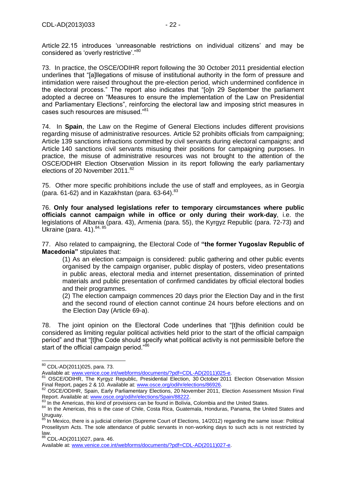Article 22.15 introduces 'unreasonable restrictions on individual citizens' and may be considered as 'overly restrictive'."<sup>80</sup>

73. In practice, the OSCE/ODIHR report following the 30 October 2011 presidential election underlines that "[a]llegations of misuse of institutional authority in the form of pressure and intimidation were raised throughout the pre-election period, which undermined confidence in the electoral process." The report also indicates that "[o]n 29 September the parliament adopted a decree on "Measures to ensure the implementation of the Law on Presidential and Parliamentary Elections", reinforcing the electoral law and imposing strict measures in cases such resources are misused."<sup>81</sup>

74. In **Spain**, the Law on the Regime of General Elections includes different provisions regarding misuse of administrative resources. Article 52 prohibits officials from campaigning; Article 139 sanctions infractions committed by civil servants during electoral campaigns; and Article 140 sanctions civil servants misusing their positions for campaigning purposes. In practice, the misuse of administrative resources was not brought to the attention of the OSCE/ODHIR Election Observation Mission in its report following the early parliamentary elections of 20 November 2011. 82

75. Other more specific prohibitions include the use of staff and employees, as in Georgia (para.  $61-62$ ) and in Kazakhstan (para.  $63-64$ ).  $83$ 

76. **Only four analysed legislations refer to temporary circumstances where public officials cannot campaign while in office or only during their work-day**, i.e. the legislations of Albania (para. 43), Armenia (para. 55), the Kyrgyz Republic (para. 72-73) and Ukraine (para. 41). 84, 85

77. Also related to campaigning, the Electoral Code of **"the former Yugoslav Republic of Macedonia"** stipulates that:

(1) As an election campaign is considered: public gathering and other public events organised by the campaign organiser, public display of posters, video presentations in public areas, electoral media and internet presentation, dissemination of printed materials and public presentation of confirmed candidates by official electoral bodies and their programmes.

(2) The election campaign commences 20 days prior the Election Day and in the first and the second round of election cannot continue 24 hours before elections and on the Election Day (Article 69-a).

78. The joint opinion on the Electoral Code underlines that "[t]his definition could be considered as limiting regular political activities held prior to the start of the official campaign period" and that "[t]he Code should specify what political activity is not permissible before the start of the official campaign period."<sup>86</sup>

<sup>-</sup><sup>80</sup> CDL-AD(2011)025, para. 73.

Available at[: www.venice.coe.int/webforms/documents/?pdf=CDL-AD\(2011\)025-e.](http://www.venice.coe.int/webforms/documents/?pdf=CDL-AD(2011)025-e)

<sup>81</sup> OSCE/ODIHR, The Kyrgyz Republic, Presidential Election, 30 October 2011 Election Observation Mission Final Report, pages 2 & 10. Available at[: www.osce.org/odihr/elections/86926.](http://www.osce.org/odihr/elections/86926)

<sup>82</sup> OSCE/ODIHR, Spain, Early Parliamentary Elections, 20 November 2011, Election Assessment Mission Final Report. Available at[: www.osce.org/odihr/elections/Spain/88222.](http://www.osce.org/odihr/elections/Spain/88222)

<sup>83</sup> In the Americas, this kind of provisions can be found in Bolivia, Colombia and the United States.

<sup>84</sup> In the Americas, this is the case of Chile, Costa Rica, Guatemala, Honduras, Panama, the United States and Uruguay.

<sup>&</sup>lt;sup>85</sup> In Mexico, there is a judicial criterion (Supreme Court of Elections, 14/2012) regarding the same issue: Political Proselitysm Acts. The sole attendance of public servants in non-working days to such acts is not restricted by law.

 $86$  CDL-AD(2011)027, para. 46.

Available at[: www.venice.coe.int/webforms/documents/?pdf=CDL-AD\(2011\)027-e.](http://www.venice.coe.int/webforms/documents/?pdf=CDL-AD(2011)027-e)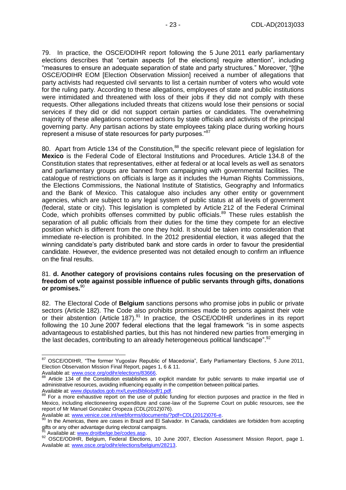79. In practice, the OSCE/ODIHR report following the 5 June 2011 early parliamentary elections describes that "certain aspects [of the elections] require attention", including "measures to ensure an adequate separation of state and party structures." Moreover, "[t]he OSCE/ODIHR EOM [Election Observation Mission] received a number of allegations that party activists had requested civil servants to list a certain number of voters who would vote for the ruling party. According to these allegations, employees of state and public institutions were intimidated and threatened with loss of their jobs if they did not comply with these requests. Other allegations included threats that citizens would lose their pensions or social services if they did or did not support certain parties or candidates. The overwhelming majority of these allegations concerned actions by state officials and activists of the principal governing party. Any partisan actions by state employees taking place during working hours represent a misuse of state resources for party purposes."87

80. Apart from Article 134 of the Constitution,<sup>88</sup> the specific relevant piece of legislation for **Mexico** is the Federal Code of Electoral Institutions and Procedures. Article 134.8 of the Constitution states that representatives, either at federal or at local levels as well as senators and parliamentary groups are banned from campaigning with governmental facilities. The catalogue of restrictions on officials is large as it includes the Human Rights Commissions, the Elections Commissions, the National Institute of Statistics, Geography and Informatics and the Bank of Mexico. This catalogue also includes any other entity or government agencies, which are subject to any legal system of public status at all levels of government (federal, state or city). This legislation is completed by Article 212 of the Federal Criminal Code, which prohibits offenses committed by public officials.<sup>89</sup> These rules establish the separation of all public officials from their duties for the time they compete for an elective position which is different from the one they hold. It should be taken into consideration that immediate re-election is prohibited. In the 2012 presidential election, it was alleged that the winning candidate's party distributed bank and store cards in order to favour the presidential candidate. However, the evidence presented was not detailed enough to confirm an influence on the final results.

#### 81. **d. Another category of provisions contains rules focusing on the preservation of freedom of vote against possible influence of public servants through gifts, donations or promises.** 90

82. The Electoral Code of **Belgium** sanctions persons who promise jobs in public or private sectors (Article 182). The Code also prohibits promises made to persons against their vote or their abstention (Article 187).<sup>91</sup> In practice, the OSCE/ODIHR underlines in its report following the 10 June 2007 federal elections that the legal framework "is in some aspects advantageous to established parties, but this has not hindered new parties from emerging in the last decades, contributing to an already heterogeneous political landscape".<sup>92</sup>

 $\overline{a}$ <sup>87</sup> OSCE/ODIHR, "The former Yugoslav Republic of Macedonia", Early Parliamentary Elections, 5 June 2011, Election Observation Mission Final Report, pages 1, 6 & 11.

Available at[: www.osce.org/odihr/elections/83666.](http://www.osce.org/odihr/elections/83666)

Article 134 of the Constitution establishes an explicit mandate for public servants to make impartial use of administrative resources, avoiding influencing equality in the competition between political parties. Available at[: www.diputados.gob.mx/LeyesBiblio/pdf/1.pdf.](http://www.diputados.gob.mx/LeyesBiblio/pdf/1.pdf)

<sup>&</sup>lt;sup>89</sup> For a more exhaustive report on the use of public funding for election purposes and practice in the filed in Mexico, including electioneering expenditure and case-law of the Supreme Court on public resources, see the report of Mr Manuel Gonzalez Oropeza (CDL(2012)076).

Available at[: www.venice.coe.int/webforms/documents/?pdf=CDL\(2012\)076-e.](http://www.venice.coe.int/webforms/documents/?pdf=CDL(2012)076-e)

<sup>&</sup>lt;sup>90</sup> In the Americas, there are cases in Brazil and El Salvador. In Canada, candidates are forbidden from accepting gifts or any other advantage during electoral campaigns.

Available at[: www.droitbelge.be/codes.asp.](http://www.droitbelge.be/codes.asp)

<sup>92</sup> OSCE/ODIHR, Belgium, Federal Elections, 10 June 2007, Election Assessment Mission Report, page 1. Available at[: www.osce.org/odihr/elections/belgium/28213.](http://www.osce.org/odihr/elections/belgium/28213)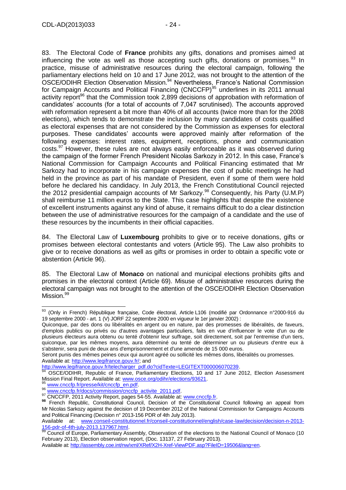83. The Electoral Code of **France** prohibits any gifts, donations and promises aimed at influencing the vote as well as those accepting such gifts, donations or promises. $^{93}$  In practice, misuse of administrative resources during the electoral campaign, following the parliamentary elections held on 10 and 17 June 2012, was not brought to the attention of the OSCE/ODIHR Election Observation Mission. <sup>94</sup> Nevertheless, France's National Commission for Campaign Accounts and Political Financing (CNCCFP)<sup>95</sup> underlines in its 2011 annual activity report<sup>96</sup> that the Commission took 2,899 decisions of approbation with reformation of candidates' accounts (for a total of accounts of 7,047 scrutinised). The accounts approved with reformation represent a bit more than 40% of all accounts (twice more than for the 2008 elections), which tends to demonstrate the inclusion by many candidates of costs qualified as electoral expenses that are not considered by the Commission as expenses for electoral purposes. These candidates' accounts were approved mainly after reformation of the following expenses: interest rates, equipment, receptions, phone and communication costs.<sup>97</sup> However, these rules are not always easily enforceable as it was observed during the campaign of the former French President Nicolas Sarkozy in 2012. In this case, France's National Commission for Campaign Accounts and Political Financing estimated that Mr Sarkozy had to incorporate in his campaign expenses the cost of public meetings he had held in the province as part of his mandate of President, even if some of them were hold before he declared his candidacy. In July 2013, the French Constitutional Council rejected the 2012 presidential campaign accounts of Mr Sarkozy.<sup>98</sup> Consequently, his Party (U.M.P) shall reimburse 11 million euros to the State. This case highlights that despite the existence of excellent instruments against any kind of abuse, it remains difficult to do a clear distinction between the use of administrative resources for the campaign of a candidate and the use of these resources by the incumbents in their official capacities.

84. The Electoral Law of **Luxembourg** prohibits to give or to receive donations, gifts or promises between electoral contestants and voters (Article 95). The Law also prohibits to give or to receive donations as well as gifts or promises in order to obtain a specific vote or abstention (Article 96).

85. The Electoral Law of **Monaco** on national and municipal elections prohibits gifts and promises in the electoral context (Article 69). Misuse of administrative resources during the electoral campaign was not brought to the attention of the OSCE/ODIHR Election Observation Mission.<sup>99</sup>

Seront punis des mêmes peines ceux qui auront agréé ou sollicité les mêmes dons, libéralités ou promesses. Available at[: http://www.legifrance.gouv.fr/;](http://www.legifrance.gouv.fr/) and

[http://www.legifrance.gouv.fr/telecharger\\_pdf.do?cidTexte=LEGITEXT000006070239.](http://www.legifrance.gouv.fr/telecharger_pdf.do?cidTexte=LEGITEXT000006070239)

 $\overline{a}$ <sup>93</sup> (Only in French) République française, Code électoral, Article L106 (modifié par Ordonnance n°2000-916 du 19 septembre 2000 - art. 1 (V) JORF 22 septembre 2000 en vigueur le 1er janvier 2002) :

Quiconque, par des dons ou libéralités en argent ou en nature, par des promesses de libéralités, de faveurs, d'emplois publics ou privés ou d'autres avantages particuliers, faits en vue d'influencer le vote d'un ou de plusieurs électeurs aura obtenu ou tenté d'obtenir leur suffrage, soit directement, soit par l'entremise d'un tiers, quiconque, par les mêmes moyens, aura déterminé ou tenté de déterminer un ou plusieurs d'entre eux à s'abstenir, sera puni de deux ans d'emprisonnement et d'une amende de 15 000 euros.

<sup>94</sup> OSCE/ODIHR, Republic of France, Parliamentary Elections, 10 and 17 June 2012, Election Assessment Mission Final Report. Available at[: www.osce.org/odihr/elections/93621.](http://www.osce.org/odihr/elections/93621)

<sup>95</sup> www.cnccfp.fr/presse/kit/cnccfp\_en.pdf

[www.cnccfp.fr/docs/commission/cnccfp\\_activite\\_2011.pdf.](http://www.cnccfp.fr/docs/commission/cnccfp_activite_2011.pdf)

<sup>97</sup> CNCCFP, 2011 Activity Report, pages 54-55. Available at: [www.cnccfp.fr.](http://www.cnccfp.fr/)

**<sup>98</sup>** French Republic, Constitutional Council, Decision of the Constitutional Council following an appeal from Mr Nicolas Sarkozy against the decision of 19 December 2012 of the National Commission for Campaigns Accounts and Political Financing (Decision n° 2013-156 PDR of 4th July 2013).

Available at: [www.conseil-constitutionnel.fr/conseil-constitutionnel/english/case-law/decision/decision-n-2013-](http://www.conseil-constitutionnel.fr/conseil-constitutionnel/english/case-law/decision/decision-n-2013-156-pdr-of-4th-july-2013.137967.html) [156-pdr-of-4th-july-2013.137967.html.](http://www.conseil-constitutionnel.fr/conseil-constitutionnel/english/case-law/decision/decision-n-2013-156-pdr-of-4th-july-2013.137967.html)

<sup>99</sup> Council of Europe, Parliamentary Assembly, Observation of the elections to the National Council of Monaco (10 February 2013), Election observation report, (Doc. 13137, 27 February 2013).

Available at[: http://assembly.coe.int/nw/xml/XRef/X2H-Xref-ViewPDF.asp?FileID=19506&lang=en.](http://assembly.coe.int/nw/xml/XRef/X2H-Xref-ViewPDF.asp?FileID=19506&lang=en)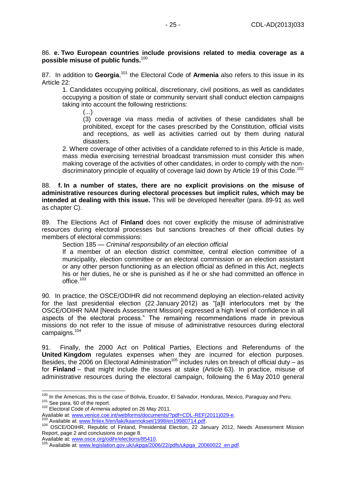### 86. **e. Two European countries include provisions related to media coverage as a possible misuse of public funds.** 100

87. In addition to Georgia,<sup>101</sup> the Electoral Code of Armenia also refers to this issue in its Article 22:

1. Candidates occupying political, discretionary, civil positions, as well as candidates occupying a position of state or community servant shall conduct election campaigns taking into account the following restrictions:

(...)

(3) coverage via mass media of activities of these candidates shall be prohibited, except for the cases prescribed by the Constitution, official visits and receptions, as well as activities carried out by them during natural disasters.

2. Where coverage of other activities of a candidate referred to in this Article is made, mass media exercising terrestrial broadcast transmission must consider this when making coverage of the activities of other candidates, in order to comply with the nondiscriminatory principle of equality of coverage laid down by Article 19 of this Code.<sup>102</sup>

88. **f. In a number of states, there are no explicit provisions on the misuse of administrative resources during electoral processes but implicit rules, which may be intended at dealing with this issue.** This will be developed hereafter (para. 89-91 as well as chapter C).

89. The Elections Act of **Finland** does not cover explicitly the misuse of administrative resources during electoral processes but sanctions breaches of their official duties by members of electoral commissions:

Section 185 — *Criminal responsibility of an election official*

If a member of an election district committee, central election committee of a municipality, election committee or an electoral commission or an election assistant or any other person functioning as an election official as defined in this Act, neglects his or her duties, he or she is punished as if he or she had committed an offence in office.<sup>103</sup>

90. In practice, the OSCE/ODIHR did not recommend deploying an election-related activity for the last presidential election (22 January 2012) as "[a]ll interlocutors met by the OSCE/ODIHR NAM [Needs Assessment Mission] expressed a high level of confidence in all aspects of the electoral process." The remaining recommendations made in previous missions do not refer to the issue of misuse of administrative resources during electoral campaigns.<sup>104</sup>

91. Finally, the 2000 Act on Political Parties, Elections and Referendums of the **United Kingdom** regulates expenses when they are incurred for election purposes. Besides, the 2006 on Electoral Administration<sup>105</sup> includes rules on breach of official duty – as for **Finland** – that might include the issues at stake (Article 63). In practice, misuse of administrative resources during the electoral campaign, following the 6 May 2010 general

<sup>102</sup> Electoral Code of Armenia adopted on 26 May 2011.

-

Available at[: www.osce.org/odihr/elections/85410.](http://www.osce.org/odihr/elections/85410)

<sup>&</sup>lt;sup>100</sup> In the Americas, this is the case of Bolivia, Ecuador, El Salvador, Honduras, Mexico, Paraguay and Peru. <sup>101</sup> See para. 60 of the report.

Available at[: www.venice.coe.int/webforms/documents/?pdf=CDL-REF\(2011\)029-e.](http://www.venice.coe.int/webforms/documents/?pdf=CDL-REF(2011)029-e)

Available at: [www.finlex.fi/en/laki/kaannokset/1998/en19980714.pdf.](http://www.finlex.fi/en/laki/kaannokset/1998/en19980714.pdf)

<sup>104</sup> OSCE/ODIHR, Republic of Finland, Presidential Election, 22 January 2012, Needs Assessment Mission Report, page 2 and conclusions on page 8.

Available at: [www.legislation.gov.uk/ukpga/2006/22/pdfs/ukpga\\_20060022\\_en.pdf.](http://www.legislation.gov.uk/ukpga/2006/22/pdfs/ukpga_20060022_en.pdf)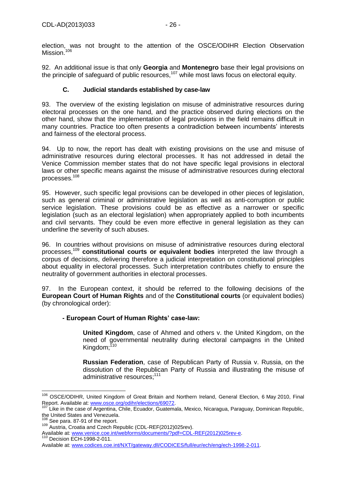election, was not brought to the attention of the OSCE/ODIHR Election Observation Mission.<sup>106</sup>

92. An additional issue is that only **Georgia** and **Montenegro** base their legal provisions on the principle of safeguard of public resources,<sup>107</sup> while most laws focus on electoral equity.

## **C. Judicial standards established by case-law**

<span id="page-25-0"></span>93. The overview of the existing legislation on misuse of administrative resources during electoral processes on the one hand, and the practice observed during elections on the other hand, show that the implementation of legal provisions in the field remains difficult in many countries. Practice too often presents a contradiction between incumbents' interests and fairness of the electoral process.

94. Up to now, the report has dealt with existing provisions on the use and misuse of administrative resources during electoral processes. It has not addressed in detail the Venice Commission member states that do not have specific legal provisions in electoral laws or other specific means against the misuse of administrative resources during electoral processes. 108

95. However, such specific legal provisions can be developed in other pieces of legislation, such as general criminal or administrative legislation as well as anti-corruption or public service legislation. These provisions could be as effective as a narrower or specific legislation (such as an electoral legislation) when appropriately applied to both incumbents and civil servants. They could be even more effective in general legislation as they can underline the severity of such abuses.

96. In countries without provisions on misuse of administrative resources during electoral processes, <sup>109</sup> **constitutional courts or equivalent bodies** interpreted the law through a corpus of decisions, delivering therefore a judicial interpretation on constitutional principles about equality in electoral processes. Such interpretation contributes chiefly to ensure the neutrality of government authorities in electoral processes.

97. In the European context, it should be referred to the following decisions of the **European Court of Human Rights** and of the **Constitutional courts** (or equivalent bodies) (by chronological order):

## **- European Court of Human Rights' case-law:**

**United Kingdom**, case of Ahmed and others v. the United Kingdom, on the need of governmental neutrality during electoral campaigns in the United Kingdom;<sup>110</sup>

**Russian Federation**, case of Republican Party of Russia v. Russia, on the dissolution of the Republican Party of Russia and illustrating the misuse of administrative resources;<sup>111</sup>

<sup>-</sup><sup>106</sup> OSCE/ODIHR, United Kingdom of Great Britain and Northern Ireland, General Election, 6 May 2010, Final Report. Available at[: www.osce.org/odihr/elections/69072.](http://www.osce.org/odihr/elections/69072)<br><sup>107</sup> Like in the sees of Argentine, Chile, Foundat, Outdoor

Like in the case of Argentina, Chile, Ecuador, Guatemala, Mexico, Nicaragua, Paraguay, Dominican Republic, the United States and Venezuela.

<sup>108</sup> See para. 87-91 of the report.

<sup>109</sup> Austria, Croatia and Czech Republic (CDL-REF(2012)025rev).

Available at[: www.venice.coe.int/webforms/documents/?pdf=CDL-REF\(2012\)025rev-e.](http://www.venice.coe.int/webforms/documents/?pdf=CDL-REF(2012)025rev-e) <sup>110</sup> Decision ECH-1998-2-011.

Available at[: www.codices.coe.int/NXT/gateway.dll/CODICES/full/eur/ech/eng/ech-1998-2-011.](http://www.codices.coe.int/NXT/gateway.dll/CODICES/full/eur/ech/eng/ech-1998-2-011)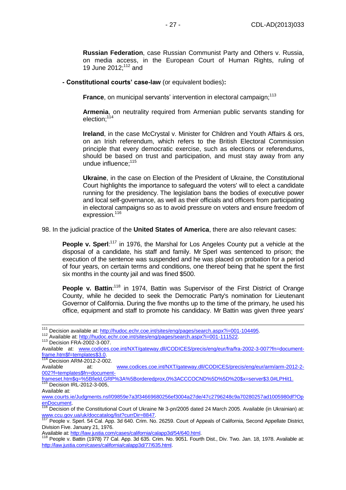**Russian Federation**, case Russian Communist Party and Others v. Russia, on media access, in the European Court of Human Rights, ruling of 19 June  $2012$ ;  $112$  and

**- Constitutional courts' case-law** (or equivalent bodies)**:**

**France**, on municipal servants' intervention in electoral campaign;<sup>113</sup>

**Armenia**, on neutrality required from Armenian public servants standing for election;<sup>114</sup>

**Ireland**, in the case McCrystal v. Minister for Children and Youth Affairs & ors, on an Irish referendum, which refers to the British Electoral Commission principle that every democratic exercise, such as elections or referendums, should be based on trust and participation, and must stay away from any undue influence;<sup>115</sup>

**Ukraine**, in the case on Election of the President of Ukraine, the Constitutional Court highlights the importance to safeguard the voters' will to elect a candidate running for the presidency. The legislation bans the bodies of executive power and local self-governance, as well as their officials and officers from participating in electoral campaigns so as to avoid pressure on voters and ensure freedom of expression. 116

98. In the judicial practice of the **United States of America**, there are also relevant cases:

People v. Sperl:<sup>117</sup> in 1976, the Marshal for Los Angeles County put a vehicle at the disposal of a candidate, his staff and family. Mr Sperl was sentenced to prison; the execution of the sentence was suspended and he was placed on probation for a period of four years, on certain terms and conditions, one thereof being that he spent the first six months in the county jail and was fined \$500.

People v. Battin:<sup>118</sup> in 1974, Battin was Supervisor of the First District of Orange County, while he decided to seek the Democratic Party's nomination for Lieutenant Governor of California. During the five months up to the time of the primary, he used his office, equipment and staff to promote his candidacy. Mr Battin was given three years'

<sup>113</sup> Decision FRA-2002-3-007.

 $\overline{1}$ 

Available at[: http://law.justia.com/cases/california/calapp3d/54/640.html.](http://law.justia.com/cases/california/calapp3d/54/640.html)

<sup>&</sup>lt;sup>111</sup> Decision available at: [http://hudoc.echr.coe.int/sites/eng/pages/search.aspx?i=001-104495.](http://hudoc.echr.coe.int/sites/eng/pages/search.aspx?i=001-104495)

<sup>112</sup> Available at: [http://hudoc.echr.coe.int/sites/eng/pages/search.aspx?i=001-111522.](http://hudoc.echr.coe.int/sites/eng/pages/search.aspx?i=001-111522)

Available at: [www.codices.coe.int/NXT/gateway.dll/CODICES/precis/eng/eur/fra/fra-2002-3-007?fn=document](http://www.codices.coe.int/NXT/gateway.dll/CODICES/precis/eng/eur/fra/fra-2002-3-007?fn=document-frame.htm$f=templates$3.0)[frame.htm\\$f=templates\\$3.0.](http://www.codices.coe.int/NXT/gateway.dll/CODICES/precis/eng/eur/fra/fra-2002-3-007?fn=document-frame.htm$f=templates$3.0)

<sup>114</sup> Decision ARM-2012-2-002.

Available at: [www.codices.coe.int/NXT/gateway.dll/CODICES/precis/eng/eur/arm/arm-2012-2-](http://www.codices.coe.int/NXT/gateway.dll/CODICES/precis/eng/eur/arm/arm-2012-2-002?f=templates$fn=document-frameset.htm$q=%5Bfield,GRP%3A%5Borderedprox,0%3ACCCOCND%5D%5D%20$x=server$3.0#LPHit1) [002?f=templates\\$fn=document-](http://www.codices.coe.int/NXT/gateway.dll/CODICES/precis/eng/eur/arm/arm-2012-2-002?f=templates$fn=document-frameset.htm$q=%5Bfield,GRP%3A%5Borderedprox,0%3ACCCOCND%5D%5D%20$x=server$3.0#LPHit1)

[frameset.htm\\$q=%5Bfield,GRP%3A%5Borderedprox,0%3ACCCOCND%5D%5D%20\\$x=server\\$3.0#LPHit1.](http://www.codices.coe.int/NXT/gateway.dll/CODICES/precis/eng/eur/arm/arm-2012-2-002?f=templates$fn=document-frameset.htm$q=%5Bfield,GRP%3A%5Borderedprox,0%3ACCCOCND%5D%5D%20$x=server$3.0#LPHit1) <sup>115</sup> Decision IRL-2012-3-005,

Available at:

[www.courts.ie/Judgments.nsf/09859e7a3f34669680256ef3004a27de/47c2796248c9a70280257ad1005980df?Op](http://www.courts.ie/Judgments.nsf/09859e7a3f34669680256ef3004a27de/47c2796248c9a70280257ad1005980df?OpenDocument) [enDocument.](http://www.courts.ie/Judgments.nsf/09859e7a3f34669680256ef3004a27de/47c2796248c9a70280257ad1005980df?OpenDocument)

<sup>&</sup>lt;sup>116</sup> Decision of the Constitutional Court of Ukraine № 3-рп/2005 dated 24 March 2005. Available (in Ukrainian) at: [www.ccu.gov.ua/uk/doccatalog/list?currDir=8847.](http://www.ccu.gov.ua/uk/doccatalog/list?currDir=8847)

<sup>117</sup> People v. Sperl. 54 Cal. App. 3d 640. Crim. No. 26259. Court of Appeals of California, Second Appellate District, Division Five. January 21, 1976.

<sup>118</sup> People v. Battin (1978) 77 Cal. App. 3d 635. Crim. No. 9051. Fourth Dist., Div. Two. Jan. 18, 1978. Available at: [http://law.justia.com/cases/california/calapp3d/77/635.html.](http://law.justia.com/cases/california/calapp3d/77/635.html)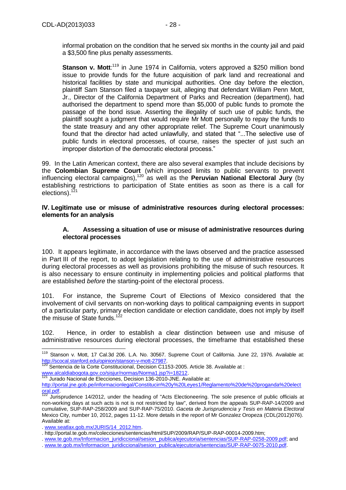informal probation on the condition that he served six months in the county jail and paid a \$3,500 fine plus penalty assessments.

Stanson v. Mott:<sup>119</sup> in June 1974 in California, voters approved a \$250 million bond issue to provide funds for the future acquisition of park land and recreational and historical facilities by state and municipal authorities. One day before the election, plaintiff Sam Stanson filed a taxpayer suit, alleging that defendant William Penn Mott, Jr., Director of the California Department of Parks and Recreation (department), had authorised the department to spend more than \$5,000 of public funds to promote the passage of the bond issue. Asserting the illegality of such use of public funds, the plaintiff sought a judgment that would require Mr Mott personally to repay the funds to the state treasury and any other appropriate relief. The Supreme Court unanimously found that the director had acted unlawfully, and stated that "...The selective use of public funds in electoral processes, of course, raises the specter of just such an improper distortion of the democratic electoral process."

99. In the Latin American context, there are also several examples that include decisions by the **Colombian Supreme Court** (which imposed limits to public servants to prevent influencing electoral campaigns),<sup>120</sup> as well as the **Peruvian National Electoral Jury** (by establishing restrictions to participation of State entities as soon as there is a call for elections).<sup>121</sup>

<span id="page-27-0"></span>**IV. Legitimate use or misuse of administrative resources during electoral processes: elements for an analysis**

### **A. Assessing a situation of use or misuse of administrative resources during electoral processes**

<span id="page-27-1"></span>100. It appears legitimate, in accordance with the laws observed and the practice assessed in Part III of the report, to adopt legislation relating to the use of administrative resources during electoral processes as well as provisions prohibiting the misuse of such resources. It is also necessary to ensure continuity in implementing policies and political platforms that are established *before* the starting-point of the electoral process.

101. For instance, the Supreme Court of Elections of Mexico considered that the involvement of civil servants on non-working days to political campaigning events in support of a particular party, primary election candidate or election candidate, does not imply by itself the misuse of State funds.<sup>12</sup>

102. Hence, in order to establish a clear distinction between use and misuse of administrative resources during electoral processes, the timeframe that established these

<sup>121</sup> Jurado Nacional de Elecciones, Decision 136-2010-JNE. Available at:

<sup>-</sup><sup>119</sup> Stanson v. Mott, 17 Cal.3d 206. L.A. No. 30567. Supreme Court of California. June 22, 1976. Available at: [http://scocal.stanford.edu/opinion/stanson-v-mott-27987.](http://scocal.stanford.edu/opinion/stanson-v-mott-27987)

Sentencia de la Corte Constitucional, Decision C1153-2005. Article 38. Available at :

[www.alcaldiabogota.gov.co/sisjur/normas/Norma1.jsp?i=18212.](http://www.alcaldiabogota.gov.co/sisjur/normas/Norma1.jsp?i=18212)

[http://portal.jne.gob.pe/informacionlegal/Constitucin%20y%20Leyes1/Reglamento%20de%20proganda%20elect](http://portal.jne.gob.pe/informacionlegal/Constitucin%20y%20Leyes1/Reglamento%20de%20proganda%20electoral.pdf) [oral.pdf.](http://portal.jne.gob.pe/informacionlegal/Constitucin%20y%20Leyes1/Reglamento%20de%20proganda%20electoral.pdf)

<sup>&</sup>lt;sup>122</sup> Jurisprudence 14/2012, under the heading of "Acts Electioneering. The sole presence of public officials at non-working days at such acts is not is not restricted by law", derived from the appeals SUP-RAP-14/2009 and cumulative, SUP-RAP-258/2009 and SUP-RAP-75/2010. *Gaceta de Jurisprudencia y Tesis en Materia Electoral* Mexico City, number 10, 2012, pages 11-12. More details in the report of Mr Gonzalez Oropeza (CDL(2012)076). Available at:

<sup>.</sup> [www.seatlax.gob.mx/JURIS/14\\_2012.htm.](http://www.seatlax.gob.mx/JURIS/14_2012.htm)

<sup>.</sup> http://portal.te.gob.mx/colecciones/sentencias/html/SUP/2009/RAP/SUP-RAP-00014-2009.htm;

<sup>.</sup> [www.te.gob.mx/Informacion\\_juridiccional/sesion\\_publica/ejecutoria/sentencias/SUP-RAP-0258-2009.pdf;](http://www.te.gob.mx/Informacion_juridiccional/sesion_publica/ejecutoria/sentencias/SUP-RAP-0258-2009.pdf) and

<sup>.</sup> [www.te.gob.mx/Informacion\\_juridiccional/sesion\\_publica/ejecutoria/sentencias/SUP-RAP-0075-2010.pdf.](http://www.te.gob.mx/Informacion_juridiccional/sesion_publica/ejecutoria/sentencias/SUP-RAP-0075-2010.pdf)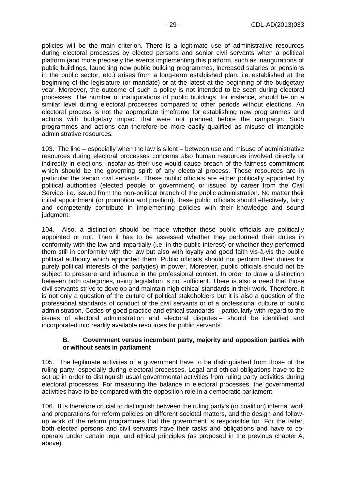policies will be the main criterion. There is a legitimate use of administrative resources during electoral processes by elected persons and senior civil servants when a political platform (and more precisely the events implementing this platform, such as inaugurations of public buildings, launching new public building programmes, increased salaries or pensions in the public sector, etc.) arises from a long-term established plan, i.e. established at the beginning of the legislature (or mandate) or at the latest at the beginning of the budgetary year. Moreover, the outcome of such a policy is not intended to be seen during electoral processes. The number of inaugurations of public buildings, for instance, should be on a similar level during electoral processes compared to other periods without elections. An electoral process is not the appropriate timeframe for establishing new programmes and actions with budgetary impact that were not planned before the campaign. Such programmes and actions can therefore be more easily qualified as misuse of intangible administrative resources.

103. The line – especially when the law is silent – between use and misuse of administrative resources during electoral processes concerns also human resources involved directly or indirectly in elections, insofar as their use would cause breach of the fairness commitment which should be the governing spirit of any electoral process. These resources are in particular the senior civil servants. These public officials are either politically appointed by political authorities (elected people or government) or issued by career from the Civil Service, i.e. issued from the non-political branch of the public administration. No matter their initial appointment (or promotion and position), these public officials should effectively, fairly and competently contribute in implementing policies with their knowledge and sound judgment.

104. Also, a distinction should be made whether these public officials are politically appointed or not. Then it has to be assessed whether they performed their duties in conformity with the law and impartially (i.e. in the public interest) or whether they performed them still in conformity with the law but also with loyalty and good faith vis-à-vis the public political authority which appointed them. Public officials should not perform their duties for purely political interests of the party(ies) in power. Moreover, public officials should not be subject to pressure and influence in the professional context. In order to draw a distinction between both categories, using legislation is not sufficient. There is also a need that those civil servants strive to develop and maintain high ethical standards in their work. Therefore, it is not only a question of the culture of political stakeholders but it is also a question of the professional standards of conduct of the civil servants or of a professional culture of public administration. Codes of good practice and ethical standards – particularly with regard to the issues of electoral administration and electoral disputes – should be identified and incorporated into readily available resources for public servants.

#### **B. Government versus incumbent party, majority and opposition parties with or without seats in parliament**

<span id="page-28-0"></span>105. The legitimate activities of a government have to be distinguished from those of the ruling party, especially during electoral processes. Legal and ethical obligations have to be set up in order to distinguish usual governmental activities from ruling party activities during electoral processes. For measuring the balance in electoral processes, the governmental activities have to be compared with the opposition role in a democratic parliament.

106. It is therefore crucial to distinguish between the ruling party's (or coalition) internal work and preparations for reform policies on different societal matters, and the design and followup work of the reform programmes that the government is responsible for. For the latter, both elected persons and civil servants have their tasks and obligations and have to cooperate under certain legal and ethical principles (as proposed in the previous chapter A, above).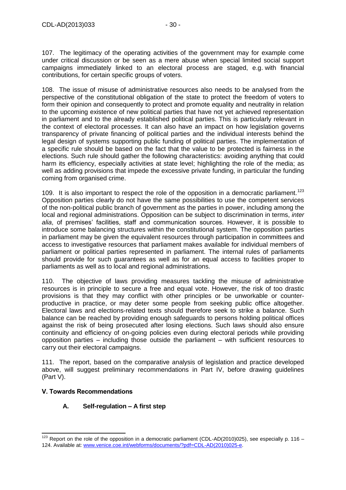107. The legitimacy of the operating activities of the government may for example come under critical discussion or be seen as a mere abuse when special limited social support campaigns immediately linked to an electoral process are staged, e.g. with financial contributions, for certain specific groups of voters.

108. The issue of misuse of administrative resources also needs to be analysed from the perspective of the constitutional obligation of the state to protect the freedom of voters to form their opinion and consequently to protect and promote equality and neutrality in relation to the upcoming existence of new political parties that have not yet achieved representation in parliament and to the already established political parties. This is particularly relevant in the context of electoral processes. It can also have an impact on how legislation governs transparency of private financing of political parties and the individual interests behind the legal design of systems supporting public funding of political parties. The implementation of a specific rule should be based on the fact that the value to be protected is fairness in the elections. Such rule should gather the following characteristics: avoiding anything that could harm its efficiency, especially activities at state level; highlighting the role of the media; as well as adding provisions that impede the excessive private funding, in particular the funding coming from organised crime.

109. It is also important to respect the role of the opposition in a democratic parliament.<sup>123</sup> Opposition parties clearly do not have the same possibilities to use the competent services of the non-political public branch of government as the parties in power, including among the local and regional administrations. Opposition can be subject to discrimination in terms, *inter alia*, of premises' facilities, staff and communication sources. However, it is possible to introduce some balancing structures within the constitutional system. The opposition parties in parliament may be given the equivalent resources through participation in committees and access to investigative resources that parliament makes available for individual members of parliament or political parties represented in parliament. The internal rules of parliaments should provide for such guarantees as well as for an equal access to facilities proper to parliaments as well as to local and regional administrations.

110. The objective of laws providing measures tackling the misuse of administrative resources is in principle to secure a free and equal vote. However, the risk of too drastic provisions is that they may conflict with other principles or be unworkable or counterproductive in practice, or may deter some people from seeking public office altogether. Electoral laws and elections-related texts should therefore seek to strike a balance. Such balance can be reached by providing enough safeguards to persons holding political offices against the risk of being prosecuted after losing elections. Such laws should also ensure continuity and efficiency of on-going policies even during electoral periods while providing opposition parties – including those outside the parliament – with sufficient resources to carry out their electoral campaigns.

111. The report, based on the comparative analysis of legislation and practice developed above, will suggest preliminary recommendations in Part IV, before drawing guidelines (Part V).

## <span id="page-29-1"></span><span id="page-29-0"></span>**V. Towards Recommendations**

 $\overline{a}$ 

## **A. Self-regulation – A first step**

 $123$  Report on the role of the opposition in a democratic parliament (CDL-AD(2010)025), see especially p. 116 – 124. Available at[: www.venice.coe.int/webforms/documents/?pdf=CDL-AD\(2010\)025-e.](http://www.venice.coe.int/webforms/documents/?pdf=CDL-AD(2010)025-e)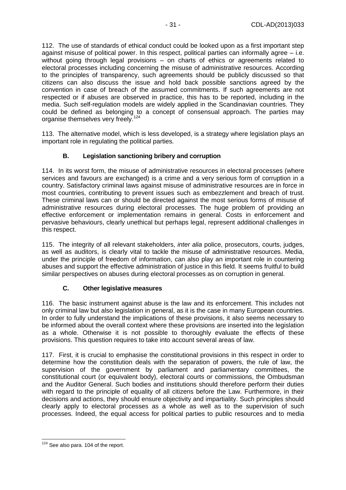112. The use of standards of ethical conduct could be looked upon as a first important step against misuse of political power. In this respect, political parties can informally agree – i.e. without going through legal provisions – on charts of ethics or agreements related to electoral processes including concerning the misuse of administrative resources. According to the principles of transparency, such agreements should be publicly discussed so that citizens can also discuss the issue and hold back possible sanctions agreed by the convention in case of breach of the assumed commitments. If such agreements are not respected or if abuses are observed in practice, this has to be reported, including in the media. Such self-regulation models are widely applied in the Scandinavian countries. They could be defined as belonging to a concept of consensual approach. The parties may organise themselves very freely.<sup>124</sup>

113. The alternative model, which is less developed, is a strategy where legislation plays an important role in regulating the political parties.

## **B. Legislation sanctioning bribery and corruption**

<span id="page-30-0"></span>114. In its worst form, the misuse of administrative resources in electoral processes (where services and favours are exchanged) is a crime and a very serious form of corruption in a country. Satisfactory criminal laws against misuse of administrative resources are in force in most countries, contributing to prevent issues such as embezzlement and breach of trust. These criminal laws can or should be directed against the most serious forms of misuse of administrative resources during electoral processes. The huge problem of providing an effective enforcement or implementation remains in general. Costs in enforcement and pervasive behaviours, clearly unethical but perhaps legal, represent additional challenges in this respect.

115. The integrity of all relevant stakeholders, *inter alia* police, prosecutors, courts, judges, as well as auditors, is clearly vital to tackle the misuse of administrative resources. Media, under the principle of freedom of information, can also play an important role in countering abuses and support the effective administration of justice in this field. It seems fruitful to build similar perspectives on abuses during electoral processes as on corruption in general.

## **C. Other legislative measures**

<span id="page-30-1"></span>116. The basic instrument against abuse is the law and its enforcement. This includes not only criminal law but also legislation in general, as it is the case in many European countries. In order to fully understand the implications of these provisions, it also seems necessary to be informed about the overall context where these provisions are inserted into the legislation as a whole. Otherwise it is not possible to thoroughly evaluate the effects of these provisions. This question requires to take into account several areas of law.

117. First, it is crucial to emphasise the constitutional provisions in this respect in order to determine how the constitution deals with the separation of powers, the rule of law, the supervision of the government by parliament and parliamentary committees, the constitutional court (or equivalent body), electoral courts or commissions, the Ombudsman and the Auditor General. Such bodies and institutions should therefore perform their duties with regard to the principle of equality of all citizens before the Law. Furthermore, in their decisions and actions, they should ensure objectivity and impartiality. Such principles should clearly apply to electoral processes as a whole as well as to the supervision of such processes. Indeed, the equal access for political parties to public resources and to media

<sup>-</sup> $124$  See also para. 104 of the report.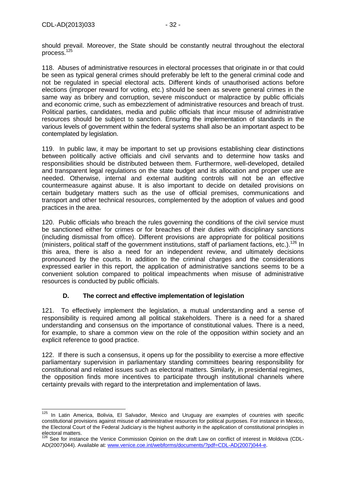should prevail. Moreover, the State should be constantly neutral throughout the electoral process. 125

118. Abuses of administrative resources in electoral processes that originate in or that could be seen as typical general crimes should preferably be left to the general criminal code and not be regulated in special electoral acts. Different kinds of unauthorised actions before elections (improper reward for voting, etc.) should be seen as severe general crimes in the same way as bribery and corruption, severe misconduct or malpractice by public officials and economic crime, such as embezzlement of administrative resources and breach of trust. Political parties, candidates, media and public officials that incur misuse of administrative resources should be subject to sanction. Ensuring the implementation of standards in the various levels of government within the federal systems shall also be an important aspect to be contemplated by legislation.

119. In public law, it may be important to set up provisions establishing clear distinctions between politically active officials and civil servants and to determine how tasks and responsibilities should be distributed between them. Furthermore, well-developed, detailed and transparent legal regulations on the state budget and its allocation and proper use are needed. Otherwise, internal and external auditing controls will not be an effective countermeasure against abuse. It is also important to decide on detailed provisions on certain budgetary matters such as the use of official premises, communications and transport and other technical resources, complemented by the adoption of values and good practices in the area.

120. Public officials who breach the rules governing the conditions of the civil service must be sanctioned either for crimes or for breaches of their duties with disciplinary sanctions (including dismissal from office). Different provisions are appropriate for political positions (ministers, political staff of the government institutions, staff of parliament factions, etc.).<sup>126</sup> In this area, there is also a need for an independent review, and ultimately decisions pronounced by the courts. In addition to the criminal charges and the considerations expressed earlier in this report, the application of administrative sanctions seems to be a convenient solution compared to political impeachments when misuse of administrative resources is conducted by public officials.

## **D. The correct and effective implementation of legislation**

<span id="page-31-0"></span>121. To effectively implement the legislation, a mutual understanding and a sense of responsibility is required among all political stakeholders. There is a need for a shared understanding and consensus on the importance of constitutional values. There is a need, for example, to share a common view on the role of the opposition within society and an explicit reference to good practice.

122. If there is such a consensus, it opens up for the possibility to exercise a more effective parliamentary supervision in parliamentary standing committees bearing responsibility for constitutional and related issues such as electoral matters. Similarly, in presidential regimes, the opposition finds more incentives to participate through institutional channels where certainty prevails with regard to the interpretation and implementation of laws.

<sup>-</sup> $125$  In Latin America, Bolivia, El Salvador, Mexico and Uruguay are examples of countries with specific constitutional provisions against misuse of administrative resources for political purposes. For instance in Mexico, the Electoral Court of the Federal Judiciary is the highest authority in the application of constitutional principles in electoral matters.

<sup>&</sup>lt;sup>126</sup> See for instance the Venice Commission Opinion on the draft Law on conflict of interest in Moldova (CDL-AD(2007)044). Available at: [www.venice.coe.int/webforms/documents/?pdf=CDL-AD\(2007\)044-e.](http://www.venice.coe.int/webforms/documents/?pdf=CDL-AD(2007)044-e)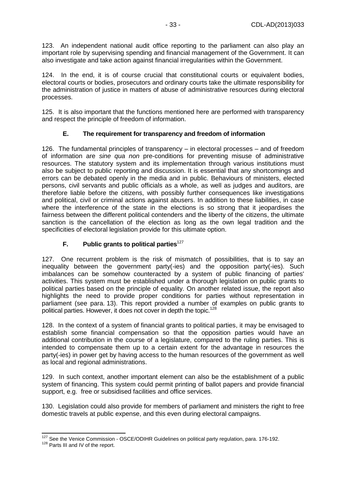123. An independent national audit office reporting to the parliament can also play an important role by supervising spending and financial management of the Government. It can also investigate and take action against financial irregularities within the Government.

In the end, it is of course crucial that constitutional courts or equivalent bodies, electoral courts or bodies, prosecutors and ordinary courts take the ultimate responsibility for the administration of justice in matters of abuse of administrative resources during electoral processes.

125. It is also important that the functions mentioned here are performed with transparency and respect the principle of freedom of information.

## **E. The requirement for transparency and freedom of information**

<span id="page-32-0"></span>126. The fundamental principles of transparency – in electoral processes – and of freedom of information are *sine qua non* pre-conditions for preventing misuse of administrative resources. The statutory system and its implementation through various institutions must also be subject to public reporting and discussion. It is essential that any shortcomings and errors can be debated openly in the media and in public. Behaviours of ministers, elected persons, civil servants and public officials as a whole, as well as judges and auditors, are therefore liable before the citizens, with possibly further consequences like investigations and political, civil or criminal actions against abusers. In addition to these liabilities, in case where the interference of the state in the elections is so strong that it jeopardises the fairness between the different political contenders and the liberty of the citizens, the ultimate sanction is the cancellation of the election as long as the own legal tradition and the specificities of electoral legislation provide for this ultimate option.

## **F.** Public grants to political parties<sup>127</sup>

<span id="page-32-1"></span>127. One recurrent problem is the risk of mismatch of possibilities, that is to say an inequality between the government party(-ies) and the opposition party(-ies). Such imbalances can be somehow counteracted by a system of public financing of parties' activities. This system must be established under a thorough legislation on public grants to political parties based on the principle of equality. On another related issue, the report also highlights the need to provide proper conditions for parties without representation in parliament (see para. 13). This report provided a number of examples on public grants to political parties. However, it does not cover in depth the topic.<sup>128</sup>

128. In the context of a system of financial grants to political parties, it may be envisaged to establish some financial compensation so that the opposition parties would have an additional contribution in the course of a legislature, compared to the ruling parties. This is intended to compensate them up to a certain extent for the advantage in resources the party(-ies) in power get by having access to the human resources of the government as well as local and regional administrations.

129. In such context, another important element can also be the establishment of a public system of financing. This system could permit printing of ballot papers and provide financial support, e.g. free or subsidised facilities and office services.

130. Legislation could also provide for members of parliament and ministers the right to free domestic travels at public expense, and this even during electoral campaigns.

 $\overline{a}$  $127$  See the Venice Commission - OSCE/ODIHR Guidelines on political party regulation, para. 176-192.

<sup>&</sup>lt;sup>128</sup> Parts III and IV of the report.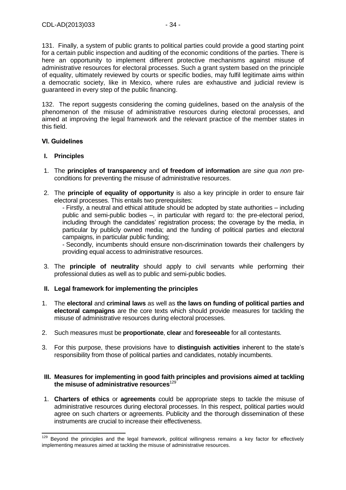131. Finally, a system of public grants to political parties could provide a good starting point for a certain public inspection and auditing of the economic conditions of the parties. There is here an opportunity to implement different protective mechanisms against misuse of administrative resources for electoral processes. Such a grant system based on the principle of equality, ultimately reviewed by courts or specific bodies, may fulfil legitimate aims within a democratic society, like in Mexico, where rules are exhaustive and judicial review is guaranteed in every step of the public financing.

132. The report suggests considering the coming guidelines, based on the analysis of the phenomenon of the misuse of administrative resources during electoral processes, and aimed at improving the legal framework and the relevant practice of the member states in this field.

## <span id="page-33-0"></span>**VI. Guidelines**

#### **I. Principles**

 $\overline{a}$ 

- 1. The **principles of transparency** and **of freedom of information** are *sine qua non* preconditions for preventing the misuse of administrative resources.
- 2. The **principle of equality of opportunity** is also a key principle in order to ensure fair electoral processes. This entails two prerequisites:

- Firstly, a neutral and ethical attitude should be adopted by state authorities – including public and semi-public bodies –, in particular with regard to: the pre-electoral period, including through the candidates' registration process; the coverage by the media, in particular by publicly owned media; and the funding of political parties and electoral campaigns, in particular public funding;

- Secondly, incumbents should ensure non-discrimination towards their challengers by providing equal access to administrative resources.

- 3. The **principle of neutrality** should apply to civil servants while performing their professional duties as well as to public and semi-public bodies.
- **II. Legal framework for implementing the principles**
- 1. The **electoral** and **criminal laws** as well as **the laws on funding of political parties and electoral campaigns** are the core texts which should provide measures for tackling the misuse of administrative resources during electoral processes.
- 2. Such measures must be **proportionate**, **clear** and **foreseeable** for all contestants.
- 3. For this purpose, these provisions have to **distinguish activities** inherent to the state's responsibility from those of political parties and candidates, notably incumbents.

#### **III. Measures for implementing in good faith principles and provisions aimed at tackling the misuse of administrative resources**<sup>129</sup>

1. **Charters of ethics** or **agreements** could be appropriate steps to tackle the misuse of administrative resources during electoral processes. In this respect, political parties would agree on such charters or agreements. Publicity and the thorough dissemination of these instruments are crucial to increase their effectiveness.

 $129$  Beyond the principles and the legal framework, political willingness remains a key factor for effectively implementing measures aimed at tackling the misuse of administrative resources.